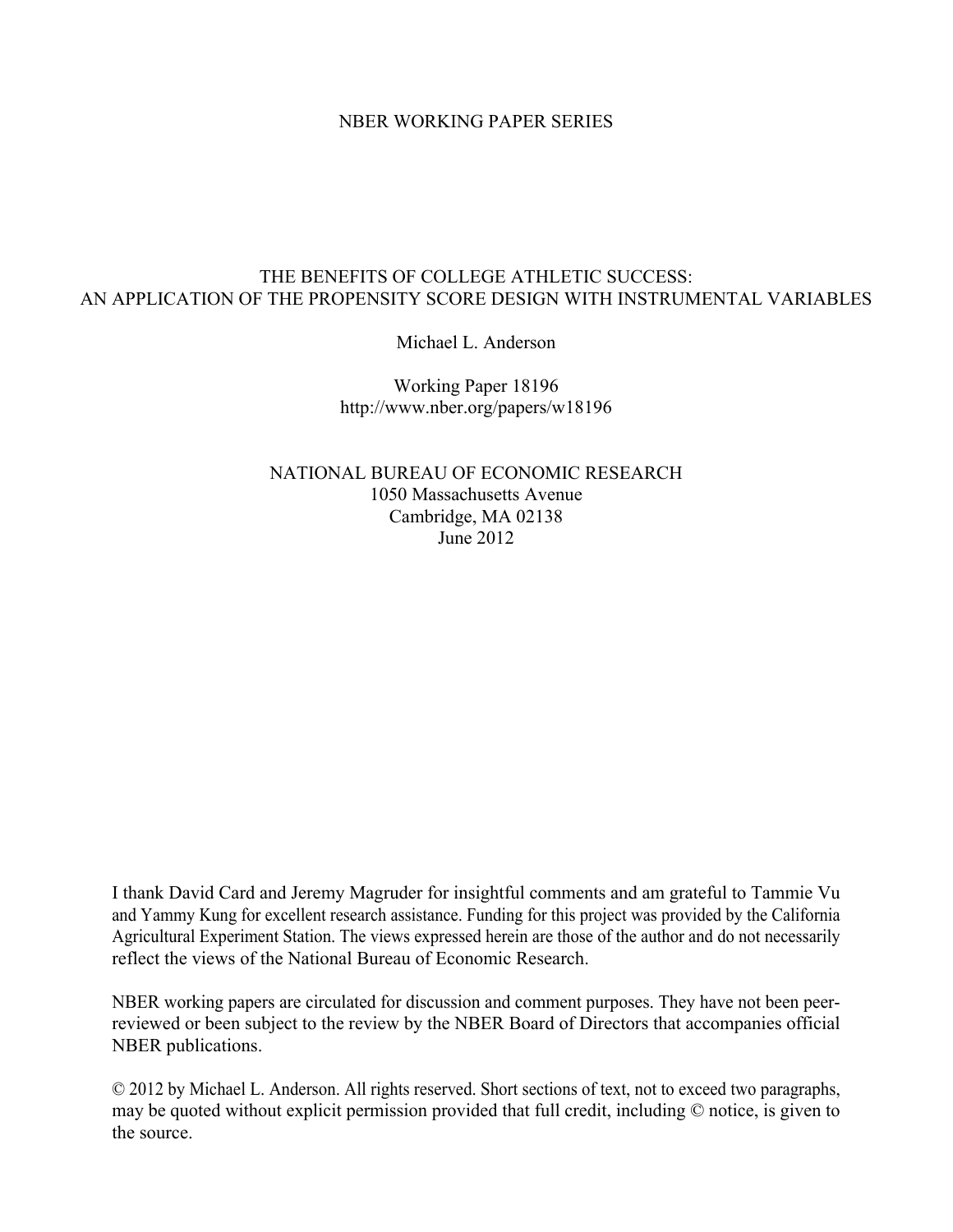#### NBER WORKING PAPER SERIES

#### THE BENEFITS OF COLLEGE ATHLETIC SUCCESS: AN APPLICATION OF THE PROPENSITY SCORE DESIGN WITH INSTRUMENTAL VARIABLES

Michael L. Anderson

Working Paper 18196 http://www.nber.org/papers/w18196

NATIONAL BUREAU OF ECONOMIC RESEARCH 1050 Massachusetts Avenue Cambridge, MA 02138 June 2012

I thank David Card and Jeremy Magruder for insightful comments and am grateful to Tammie Vu and Yammy Kung for excellent research assistance. Funding for this project was provided by the California Agricultural Experiment Station. The views expressed herein are those of the author and do not necessarily reflect the views of the National Bureau of Economic Research.

NBER working papers are circulated for discussion and comment purposes. They have not been peerreviewed or been subject to the review by the NBER Board of Directors that accompanies official NBER publications.

© 2012 by Michael L. Anderson. All rights reserved. Short sections of text, not to exceed two paragraphs, may be quoted without explicit permission provided that full credit, including © notice, is given to the source.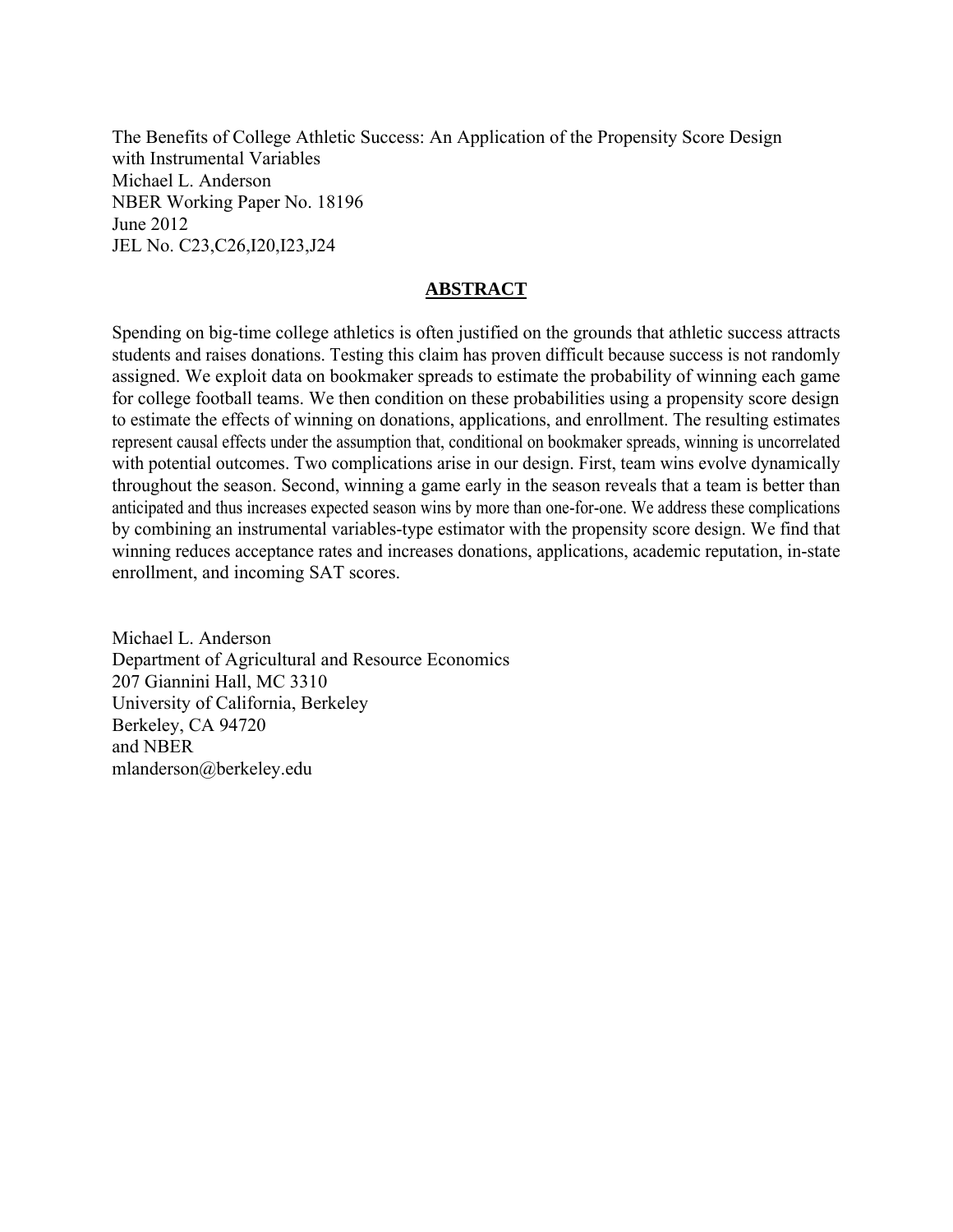The Benefits of College Athletic Success: An Application of the Propensity Score Design with Instrumental Variables Michael L. Anderson NBER Working Paper No. 18196 June 2012 JEL No. C23,C26,I20,I23,J24

#### **ABSTRACT**

Spending on big-time college athletics is often justified on the grounds that athletic success attracts students and raises donations. Testing this claim has proven difficult because success is not randomly assigned. We exploit data on bookmaker spreads to estimate the probability of winning each game for college football teams. We then condition on these probabilities using a propensity score design to estimate the effects of winning on donations, applications, and enrollment. The resulting estimates represent causal effects under the assumption that, conditional on bookmaker spreads, winning is uncorrelated with potential outcomes. Two complications arise in our design. First, team wins evolve dynamically throughout the season. Second, winning a game early in the season reveals that a team is better than anticipated and thus increases expected season wins by more than one-for-one. We address these complications by combining an instrumental variables-type estimator with the propensity score design. We find that winning reduces acceptance rates and increases donations, applications, academic reputation, in-state enrollment, and incoming SAT scores.

Michael L. Anderson Department of Agricultural and Resource Economics 207 Giannini Hall, MC 3310 University of California, Berkeley Berkeley, CA 94720 and NBER mlanderson@berkeley.edu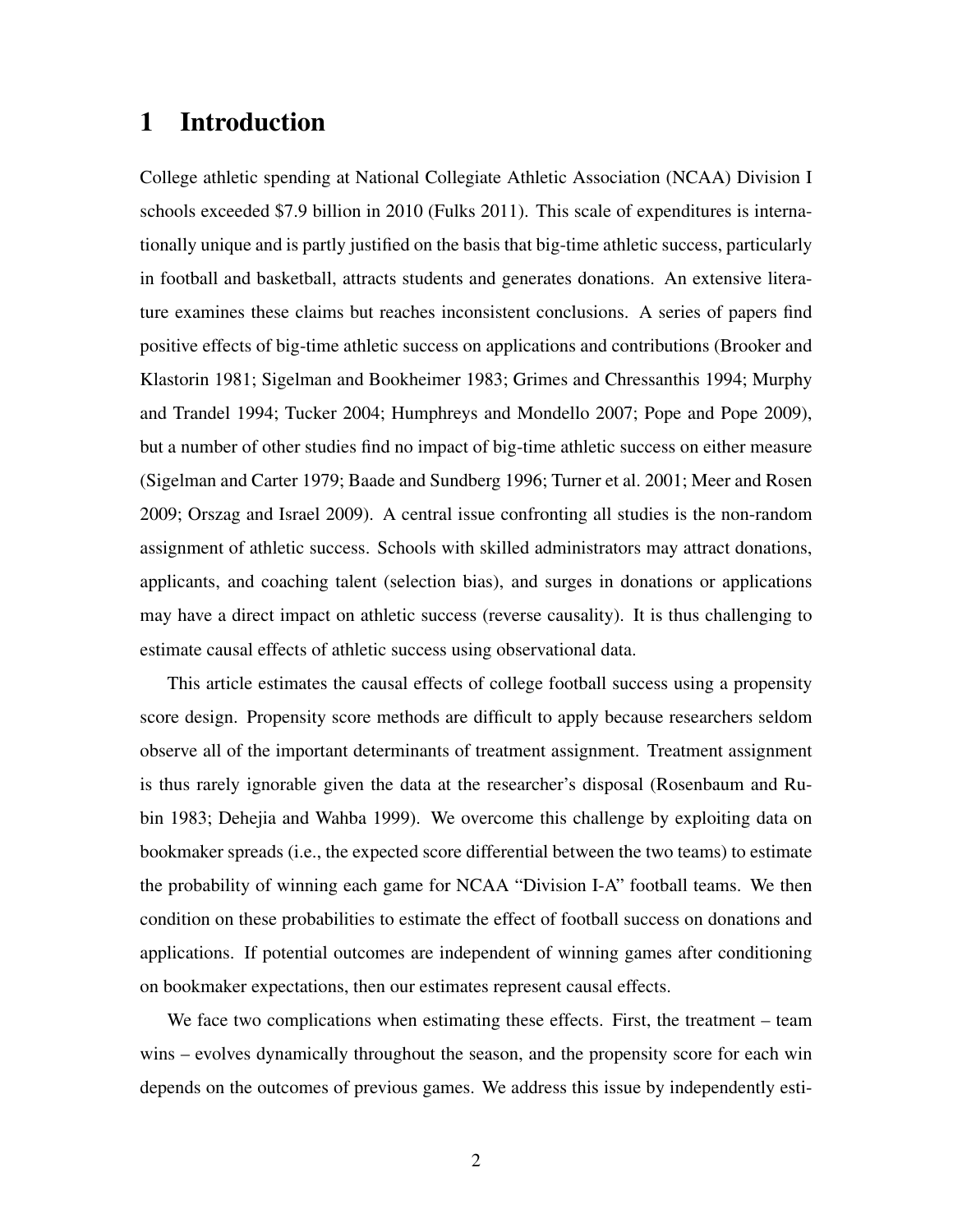# 1 Introduction

College athletic spending at National Collegiate Athletic Association (NCAA) Division I schools exceeded \$7.9 billion in 2010 (Fulks 2011). This scale of expenditures is internationally unique and is partly justified on the basis that big-time athletic success, particularly in football and basketball, attracts students and generates donations. An extensive literature examines these claims but reaches inconsistent conclusions. A series of papers find positive effects of big-time athletic success on applications and contributions (Brooker and Klastorin 1981; Sigelman and Bookheimer 1983; Grimes and Chressanthis 1994; Murphy and Trandel 1994; Tucker 2004; Humphreys and Mondello 2007; Pope and Pope 2009), but a number of other studies find no impact of big-time athletic success on either measure (Sigelman and Carter 1979; Baade and Sundberg 1996; Turner et al. 2001; Meer and Rosen 2009; Orszag and Israel 2009). A central issue confronting all studies is the non-random assignment of athletic success. Schools with skilled administrators may attract donations, applicants, and coaching talent (selection bias), and surges in donations or applications may have a direct impact on athletic success (reverse causality). It is thus challenging to estimate causal effects of athletic success using observational data.

This article estimates the causal effects of college football success using a propensity score design. Propensity score methods are difficult to apply because researchers seldom observe all of the important determinants of treatment assignment. Treatment assignment is thus rarely ignorable given the data at the researcher's disposal (Rosenbaum and Rubin 1983; Dehejia and Wahba 1999). We overcome this challenge by exploiting data on bookmaker spreads (i.e., the expected score differential between the two teams) to estimate the probability of winning each game for NCAA "Division I-A" football teams. We then condition on these probabilities to estimate the effect of football success on donations and applications. If potential outcomes are independent of winning games after conditioning on bookmaker expectations, then our estimates represent causal effects.

We face two complications when estimating these effects. First, the treatment – team wins – evolves dynamically throughout the season, and the propensity score for each win depends on the outcomes of previous games. We address this issue by independently esti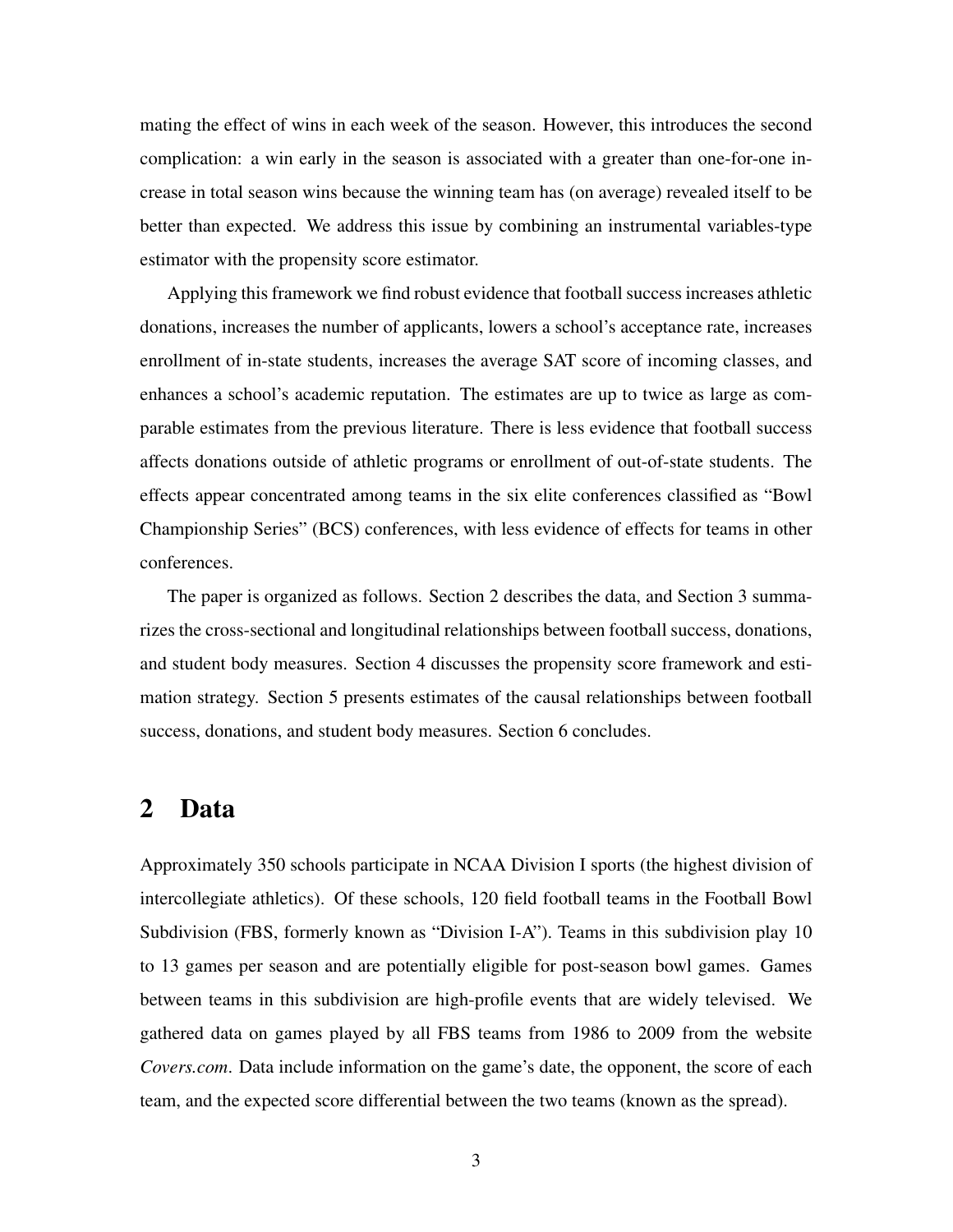mating the effect of wins in each week of the season. However, this introduces the second complication: a win early in the season is associated with a greater than one-for-one increase in total season wins because the winning team has (on average) revealed itself to be better than expected. We address this issue by combining an instrumental variables-type estimator with the propensity score estimator.

Applying this framework we find robust evidence that football success increases athletic donations, increases the number of applicants, lowers a school's acceptance rate, increases enrollment of in-state students, increases the average SAT score of incoming classes, and enhances a school's academic reputation. The estimates are up to twice as large as comparable estimates from the previous literature. There is less evidence that football success affects donations outside of athletic programs or enrollment of out-of-state students. The effects appear concentrated among teams in the six elite conferences classified as "Bowl Championship Series" (BCS) conferences, with less evidence of effects for teams in other conferences.

The paper is organized as follows. Section 2 describes the data, and Section 3 summarizes the cross-sectional and longitudinal relationships between football success, donations, and student body measures. Section 4 discusses the propensity score framework and estimation strategy. Section 5 presents estimates of the causal relationships between football success, donations, and student body measures. Section 6 concludes.

### 2 Data

Approximately 350 schools participate in NCAA Division I sports (the highest division of intercollegiate athletics). Of these schools, 120 field football teams in the Football Bowl Subdivision (FBS, formerly known as "Division I-A"). Teams in this subdivision play 10 to 13 games per season and are potentially eligible for post-season bowl games. Games between teams in this subdivision are high-profile events that are widely televised. We gathered data on games played by all FBS teams from 1986 to 2009 from the website *Covers.com*. Data include information on the game's date, the opponent, the score of each team, and the expected score differential between the two teams (known as the spread).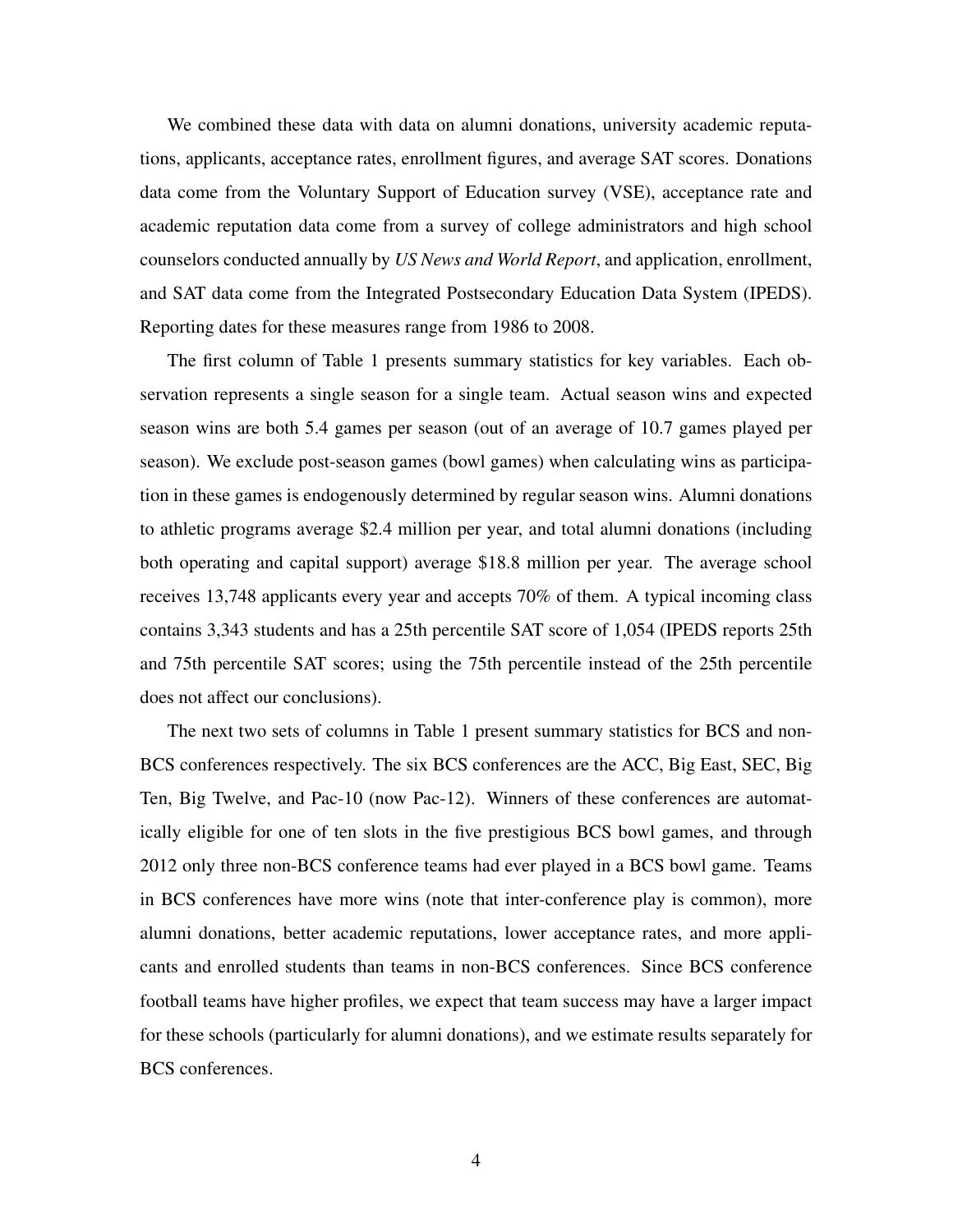We combined these data with data on alumni donations, university academic reputations, applicants, acceptance rates, enrollment figures, and average SAT scores. Donations data come from the Voluntary Support of Education survey (VSE), acceptance rate and academic reputation data come from a survey of college administrators and high school counselors conducted annually by *US News and World Report*, and application, enrollment, and SAT data come from the Integrated Postsecondary Education Data System (IPEDS). Reporting dates for these measures range from 1986 to 2008.

The first column of Table 1 presents summary statistics for key variables. Each observation represents a single season for a single team. Actual season wins and expected season wins are both 5.4 games per season (out of an average of 10.7 games played per season). We exclude post-season games (bowl games) when calculating wins as participation in these games is endogenously determined by regular season wins. Alumni donations to athletic programs average \$2.4 million per year, and total alumni donations (including both operating and capital support) average \$18.8 million per year. The average school receives 13,748 applicants every year and accepts 70% of them. A typical incoming class contains 3,343 students and has a 25th percentile SAT score of 1,054 (IPEDS reports 25th and 75th percentile SAT scores; using the 75th percentile instead of the 25th percentile does not affect our conclusions).

The next two sets of columns in Table 1 present summary statistics for BCS and non-BCS conferences respectively. The six BCS conferences are the ACC, Big East, SEC, Big Ten, Big Twelve, and Pac-10 (now Pac-12). Winners of these conferences are automatically eligible for one of ten slots in the five prestigious BCS bowl games, and through 2012 only three non-BCS conference teams had ever played in a BCS bowl game. Teams in BCS conferences have more wins (note that inter-conference play is common), more alumni donations, better academic reputations, lower acceptance rates, and more applicants and enrolled students than teams in non-BCS conferences. Since BCS conference football teams have higher profiles, we expect that team success may have a larger impact for these schools (particularly for alumni donations), and we estimate results separately for BCS conferences.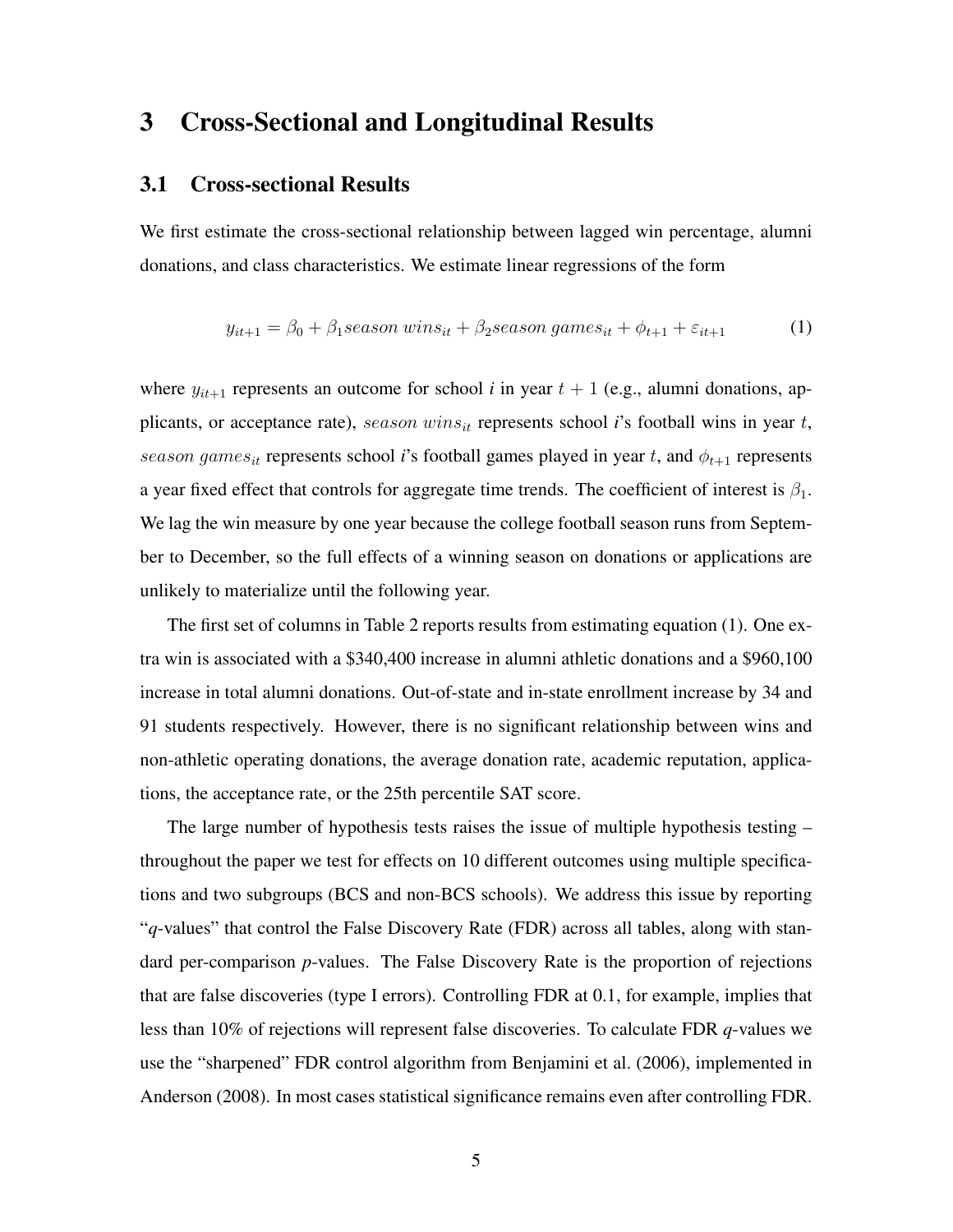## 3 Cross-Sectional and Longitudinal Results

#### 3.1 Cross-sectional Results

We first estimate the cross-sectional relationship between lagged win percentage, alumni donations, and class characteristics. We estimate linear regressions of the form

$$
y_{it+1} = \beta_0 + \beta_1 season \, wins_{it} + \beta_2 season \, games_{it} + \phi_{t+1} + \varepsilon_{it+1} \tag{1}
$$

where  $y_{it+1}$  represents an outcome for school *i* in year  $t + 1$  (e.g., alumni donations, applicants, or acceptance rate),  $season \ wins_{it}$  represents school *i*'s football wins in year  $t$ , season games<sub>it</sub> represents school *i*'s football games played in year t, and  $\phi_{t+1}$  represents a year fixed effect that controls for aggregate time trends. The coefficient of interest is  $\beta_1$ . We lag the win measure by one year because the college football season runs from September to December, so the full effects of a winning season on donations or applications are unlikely to materialize until the following year.

The first set of columns in Table 2 reports results from estimating equation (1). One extra win is associated with a \$340,400 increase in alumni athletic donations and a \$960,100 increase in total alumni donations. Out-of-state and in-state enrollment increase by 34 and 91 students respectively. However, there is no significant relationship between wins and non-athletic operating donations, the average donation rate, academic reputation, applications, the acceptance rate, or the 25th percentile SAT score.

The large number of hypothesis tests raises the issue of multiple hypothesis testing – throughout the paper we test for effects on 10 different outcomes using multiple specifications and two subgroups (BCS and non-BCS schools). We address this issue by reporting "*q*-values" that control the False Discovery Rate (FDR) across all tables, along with standard per-comparison *p*-values. The False Discovery Rate is the proportion of rejections that are false discoveries (type I errors). Controlling FDR at 0.1, for example, implies that less than 10% of rejections will represent false discoveries. To calculate FDR *q*-values we use the "sharpened" FDR control algorithm from Benjamini et al. (2006), implemented in Anderson (2008). In most cases statistical significance remains even after controlling FDR.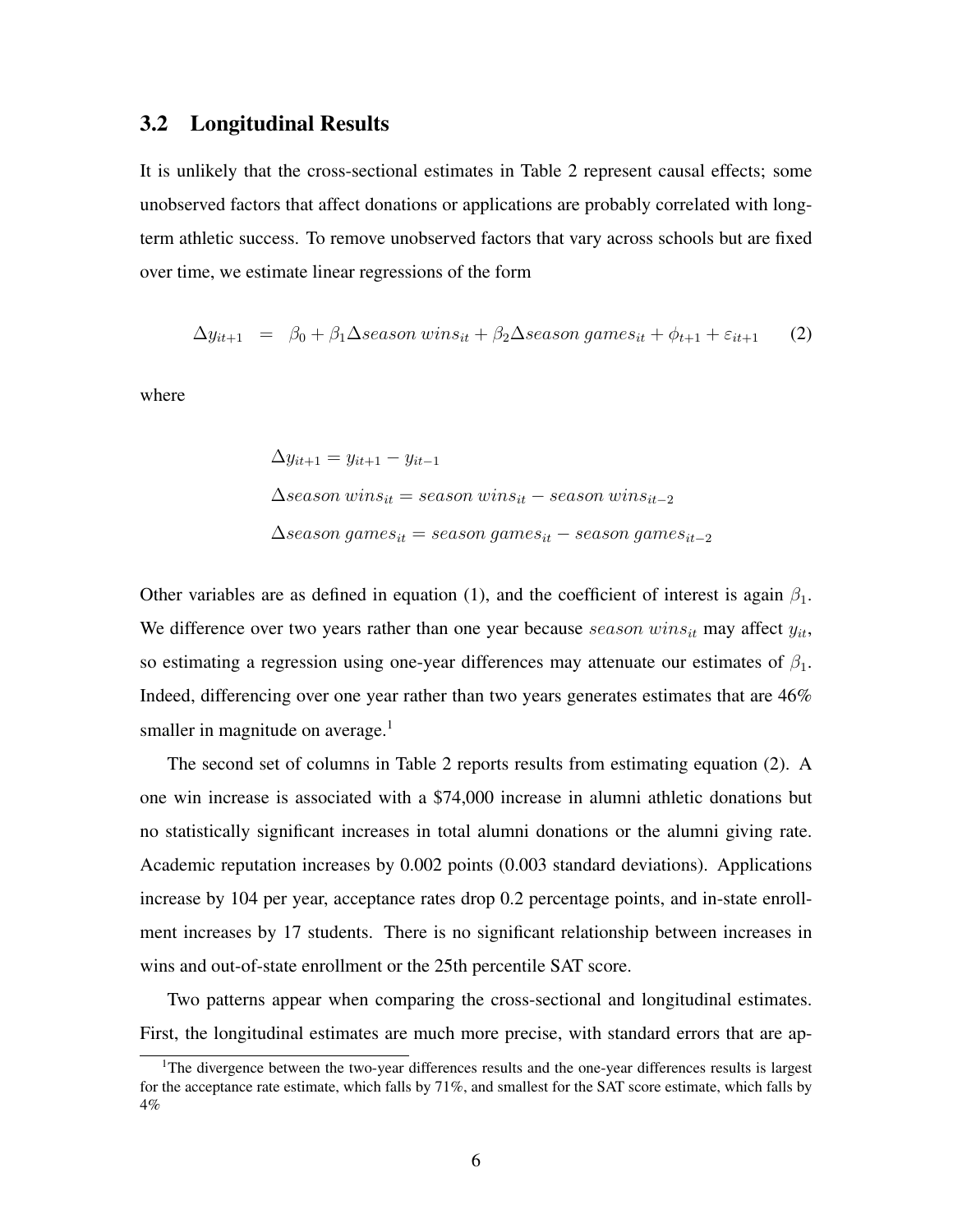#### 3.2 Longitudinal Results

It is unlikely that the cross-sectional estimates in Table 2 represent causal effects; some unobserved factors that affect donations or applications are probably correlated with longterm athletic success. To remove unobserved factors that vary across schools but are fixed over time, we estimate linear regressions of the form

$$
\Delta y_{it+1} = \beta_0 + \beta_1 \Delta season \, wins_{it} + \beta_2 \Delta season \, games_{it} + \phi_{t+1} + \varepsilon_{it+1} \tag{2}
$$

where

$$
\Delta y_{it+1} = y_{it+1} - y_{it-1}
$$
  

$$
\Delta season\ wins_{it} = season\ wins_{it} - season\ wins_{it-2}
$$
  

$$
\Delta season\ games_{it} = season\ games_{it} - season\ games_{it-2}
$$

Other variables are as defined in equation (1), and the coefficient of interest is again  $\beta_1$ . We difference over two years rather than one year because season wins<sub>it</sub> may affect  $y_{it}$ , so estimating a regression using one-year differences may attenuate our estimates of  $\beta_1$ . Indeed, differencing over one year rather than two years generates estimates that are 46% smaller in magnitude on average. $<sup>1</sup>$ </sup>

The second set of columns in Table 2 reports results from estimating equation (2). A one win increase is associated with a \$74,000 increase in alumni athletic donations but no statistically significant increases in total alumni donations or the alumni giving rate. Academic reputation increases by 0.002 points (0.003 standard deviations). Applications increase by 104 per year, acceptance rates drop 0.2 percentage points, and in-state enrollment increases by 17 students. There is no significant relationship between increases in wins and out-of-state enrollment or the 25th percentile SAT score.

Two patterns appear when comparing the cross-sectional and longitudinal estimates. First, the longitudinal estimates are much more precise, with standard errors that are ap-

<sup>&</sup>lt;sup>1</sup>The divergence between the two-year differences results and the one-year differences results is largest for the acceptance rate estimate, which falls by 71%, and smallest for the SAT score estimate, which falls by 4%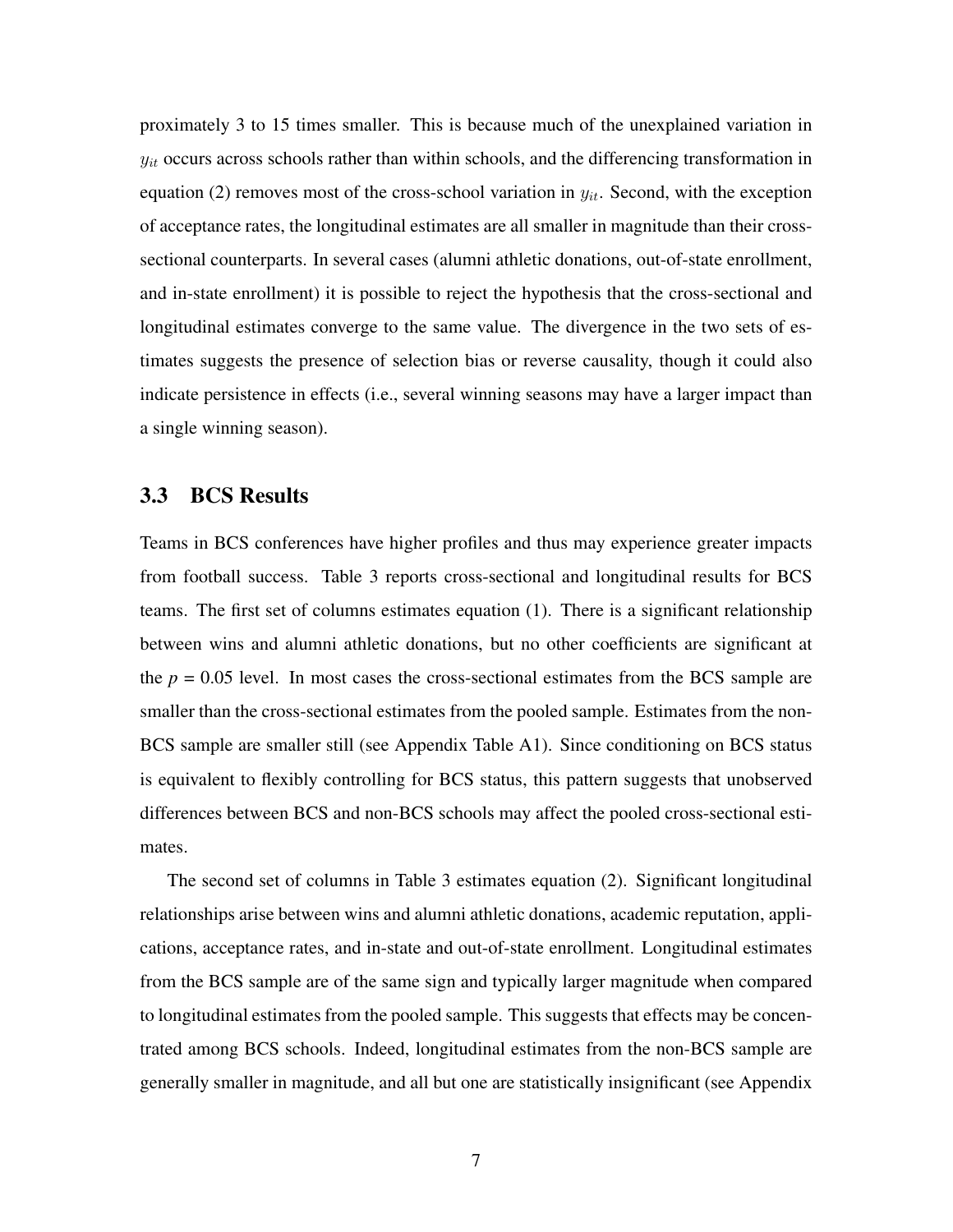proximately 3 to 15 times smaller. This is because much of the unexplained variation in  $y_{it}$  occurs across schools rather than within schools, and the differencing transformation in equation (2) removes most of the cross-school variation in  $y_{it}$ . Second, with the exception of acceptance rates, the longitudinal estimates are all smaller in magnitude than their crosssectional counterparts. In several cases (alumni athletic donations, out-of-state enrollment, and in-state enrollment) it is possible to reject the hypothesis that the cross-sectional and longitudinal estimates converge to the same value. The divergence in the two sets of estimates suggests the presence of selection bias or reverse causality, though it could also indicate persistence in effects (i.e., several winning seasons may have a larger impact than a single winning season).

#### 3.3 BCS Results

Teams in BCS conferences have higher profiles and thus may experience greater impacts from football success. Table 3 reports cross-sectional and longitudinal results for BCS teams. The first set of columns estimates equation (1). There is a significant relationship between wins and alumni athletic donations, but no other coefficients are significant at the  $p = 0.05$  level. In most cases the cross-sectional estimates from the BCS sample are smaller than the cross-sectional estimates from the pooled sample. Estimates from the non-BCS sample are smaller still (see Appendix Table A1). Since conditioning on BCS status is equivalent to flexibly controlling for BCS status, this pattern suggests that unobserved differences between BCS and non-BCS schools may affect the pooled cross-sectional estimates.

The second set of columns in Table 3 estimates equation (2). Significant longitudinal relationships arise between wins and alumni athletic donations, academic reputation, applications, acceptance rates, and in-state and out-of-state enrollment. Longitudinal estimates from the BCS sample are of the same sign and typically larger magnitude when compared to longitudinal estimates from the pooled sample. This suggests that effects may be concentrated among BCS schools. Indeed, longitudinal estimates from the non-BCS sample are generally smaller in magnitude, and all but one are statistically insignificant (see Appendix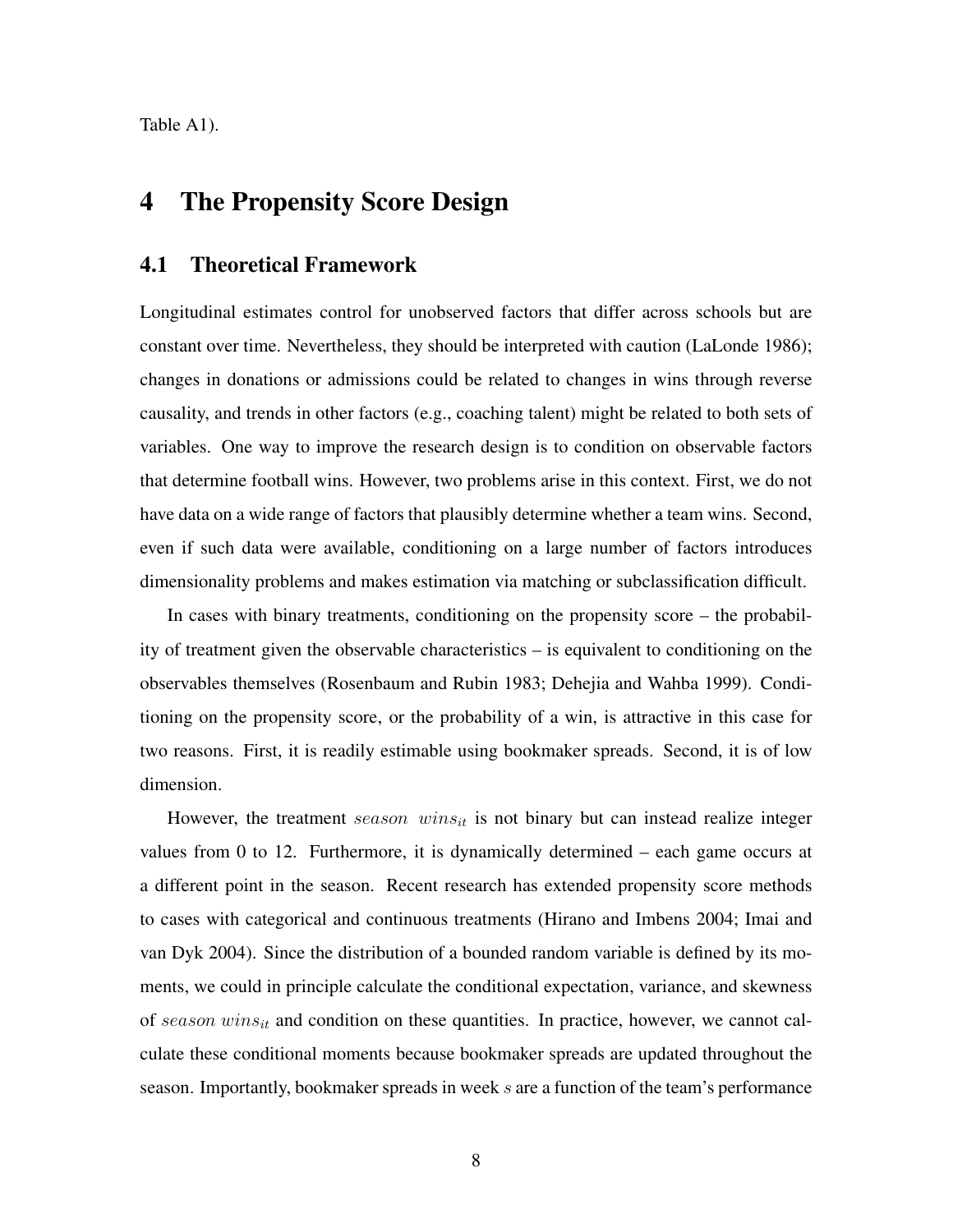Table A1).

# 4 The Propensity Score Design

#### 4.1 Theoretical Framework

Longitudinal estimates control for unobserved factors that differ across schools but are constant over time. Nevertheless, they should be interpreted with caution (LaLonde 1986); changes in donations or admissions could be related to changes in wins through reverse causality, and trends in other factors (e.g., coaching talent) might be related to both sets of variables. One way to improve the research design is to condition on observable factors that determine football wins. However, two problems arise in this context. First, we do not have data on a wide range of factors that plausibly determine whether a team wins. Second, even if such data were available, conditioning on a large number of factors introduces dimensionality problems and makes estimation via matching or subclassification difficult.

In cases with binary treatments, conditioning on the propensity score – the probability of treatment given the observable characteristics – is equivalent to conditioning on the observables themselves (Rosenbaum and Rubin 1983; Dehejia and Wahba 1999). Conditioning on the propensity score, or the probability of a win, is attractive in this case for two reasons. First, it is readily estimable using bookmaker spreads. Second, it is of low dimension.

However, the treatment season wins<sub>it</sub> is not binary but can instead realize integer values from 0 to 12. Furthermore, it is dynamically determined – each game occurs at a different point in the season. Recent research has extended propensity score methods to cases with categorical and continuous treatments (Hirano and Imbens 2004; Imai and van Dyk 2004). Since the distribution of a bounded random variable is defined by its moments, we could in principle calculate the conditional expectation, variance, and skewness of season wins<sub>it</sub> and condition on these quantities. In practice, however, we cannot calculate these conditional moments because bookmaker spreads are updated throughout the season. Importantly, bookmaker spreads in week s are a function of the team's performance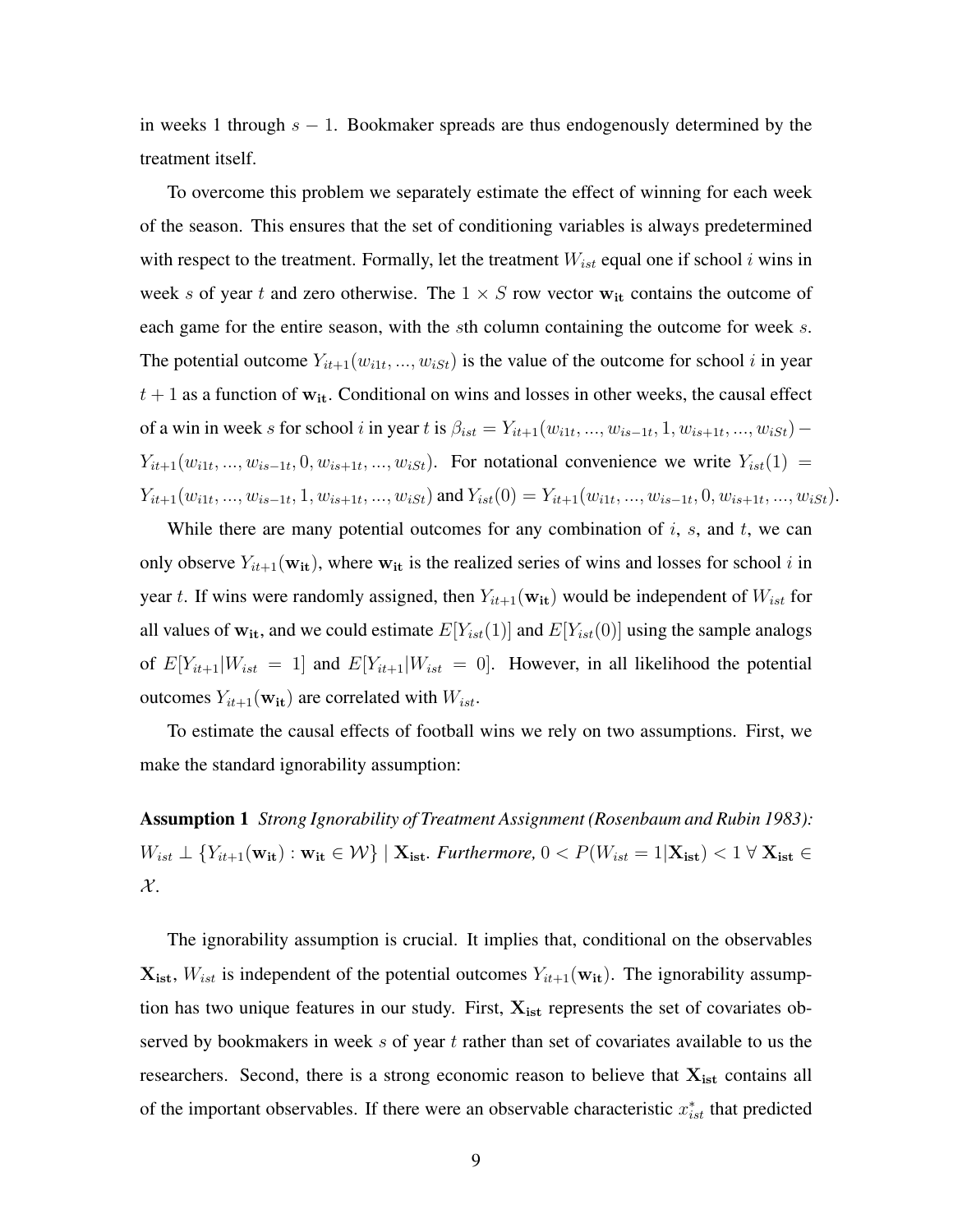in weeks 1 through  $s - 1$ . Bookmaker spreads are thus endogenously determined by the treatment itself.

To overcome this problem we separately estimate the effect of winning for each week of the season. This ensures that the set of conditioning variables is always predetermined with respect to the treatment. Formally, let the treatment  $W_{ist}$  equal one if school i wins in week s of year t and zero otherwise. The  $1 \times S$  row vector  $w_{it}$  contains the outcome of each game for the entire season, with the sth column containing the outcome for week s. The potential outcome  $Y_{it+1}(w_{i1t},...,w_{iSt})$  is the value of the outcome for school i in year  $t + 1$  as a function of  $w_{it}$ . Conditional on wins and losses in other weeks, the causal effect of a win in week s for school i in year t is  $\beta_{ist} = Y_{it+1}(w_{i1t}, ..., w_{is-1t}, 1, w_{is+1t}, ..., w_{iSt})$  –  $Y_{it+1}(w_{i1t},...,w_{is-1t},0,w_{is+1t},...,w_{iSt})$ . For notational convenience we write  $Y_{ist}(1)$  $Y_{it+1}(w_{i1t},...,w_{is-1t},1,w_{is+1t},...,w_{iSt})$  and  $Y_{ist}(0) = Y_{it+1}(w_{i1t},...,w_{is-1t},0,w_{is+1t},...,w_{iSt}).$ 

While there are many potential outcomes for any combination of  $i$ ,  $s$ , and  $t$ , we can only observe  $Y_{it+1}(\mathbf{w_{it}})$ , where  $\mathbf{w_{it}}$  is the realized series of wins and losses for school i in year t. If wins were randomly assigned, then  $Y_{it+1}(\mathbf{w_{it}})$  would be independent of  $W_{ist}$  for all values of  $w_{it}$ , and we could estimate  $E[Y_{ist}(1)]$  and  $E[Y_{ist}(0)]$  using the sample analogs of  $E[Y_{it+1}|W_{ist} = 1]$  and  $E[Y_{it+1}|W_{ist} = 0]$ . However, in all likelihood the potential outcomes  $Y_{it+1}(\mathbf{w_{it}})$  are correlated with  $W_{ist}$ .

To estimate the causal effects of football wins we rely on two assumptions. First, we make the standard ignorability assumption:

Assumption 1 *Strong Ignorability of Treatment Assignment (Rosenbaum and Rubin 1983):*  $W_{ist} \perp \{Y_{it+1}(\mathbf{w_{it}}): \mathbf{w_{it}} \in \mathcal{W}\}\mid \mathbf{X_{ist}}$ . Furthermore,  $0 < P(W_{ist} = 1|\mathbf{X_{ist}}) < 1 \forall \mathbf{X_{ist}} \in \mathcal{W}$  $\mathcal{X}$ .

The ignorability assumption is crucial. It implies that, conditional on the observables  $\mathbf{X}_{\text{ist}}$ ,  $W_{ist}$  is independent of the potential outcomes  $Y_{it+1}(\mathbf{w}_{it})$ . The ignorability assumption has two unique features in our study. First,  $X_{ist}$  represents the set of covariates observed by bookmakers in week s of year t rather than set of covariates available to us the researchers. Second, there is a strong economic reason to believe that  $X_{ist}$  contains all of the important observables. If there were an observable characteristic  $x_{ist}^*$  that predicted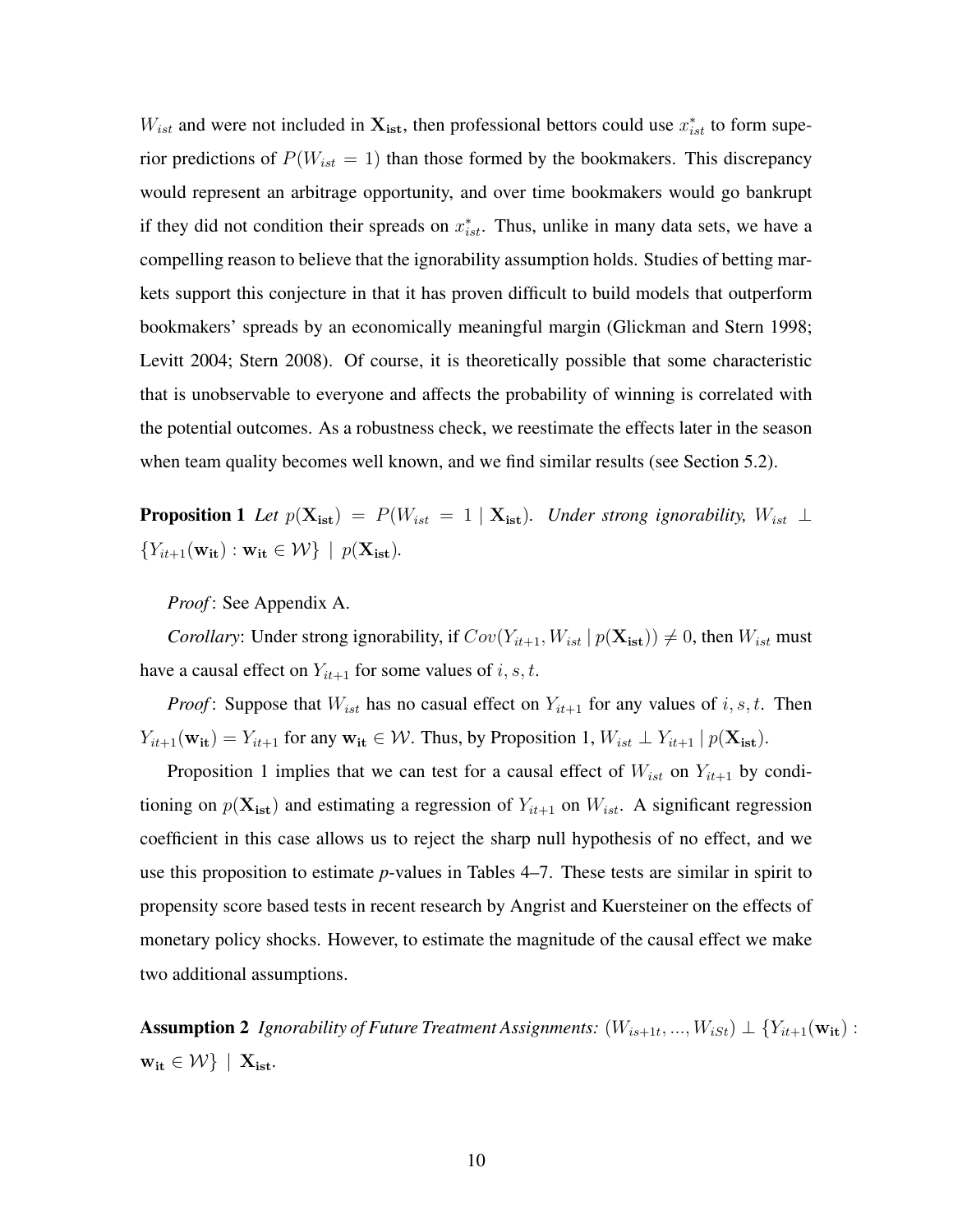$W_{ist}$  and were not included in  $\mathbf{X_{ist}}$ , then professional bettors could use  $x_{ist}^*$  to form superior predictions of  $P(W_{ist} = 1)$  than those formed by the bookmakers. This discrepancy would represent an arbitrage opportunity, and over time bookmakers would go bankrupt if they did not condition their spreads on  $x_{ist}^*$ . Thus, unlike in many data sets, we have a compelling reason to believe that the ignorability assumption holds. Studies of betting markets support this conjecture in that it has proven difficult to build models that outperform bookmakers' spreads by an economically meaningful margin (Glickman and Stern 1998; Levitt 2004; Stern 2008). Of course, it is theoretically possible that some characteristic that is unobservable to everyone and affects the probability of winning is correlated with the potential outcomes. As a robustness check, we reestimate the effects later in the season when team quality becomes well known, and we find similar results (see Section 5.2).

**Proposition 1** *Let*  $p(\mathbf{X}_{\text{ist}}) = P(W_{\text{ist}} = 1 | \mathbf{X}_{\text{ist}})$ *. Under strong ignorability,*  $W_{\text{ist}} \perp$  ${Y_{it+1}(\mathbf{w_{it}}) : \mathbf{w_{it}} \in \mathcal{W}} \mid p(\mathbf{X_{ist}}).$ 

*Proof* : See Appendix A.

*Corollary*: Under strong ignorability, if  $Cov(Y_{it+1}, W_{ist} | p(\mathbf{X}_{ist})) \neq 0$ , then  $W_{ist}$  must have a causal effect on  $Y_{it+1}$  for some values of i, s, t.

*Proof*: Suppose that  $W_{ist}$  has no casual effect on  $Y_{it+1}$  for any values of i, s, t. Then  $Y_{it+1}(\mathbf{w_{it}}) = Y_{it+1}$  for any  $\mathbf{w_{it}} \in \mathcal{W}$ . Thus, by Proposition 1,  $W_{ist} \perp Y_{it+1} | p(\mathbf{X_{ist}})$ .

Proposition 1 implies that we can test for a causal effect of  $W_{ist}$  on  $Y_{it+1}$  by conditioning on  $p(\mathbf{X_{ist}})$  and estimating a regression of  $Y_{it+1}$  on  $W_{ist}$ . A significant regression coefficient in this case allows us to reject the sharp null hypothesis of no effect, and we use this proposition to estimate *p*-values in Tables 4–7. These tests are similar in spirit to propensity score based tests in recent research by Angrist and Kuersteiner on the effects of monetary policy shocks. However, to estimate the magnitude of the causal effect we make two additional assumptions.

**Assumption 2** Ignorability of Future Treatment Assignments:  $(W_{is+1t},...,W_{iSt}) \perp \{Y_{it+1}(\mathbf{w_{it}}):$  $w_{it} \in \mathcal{W}$  |  $X_{ist}$ .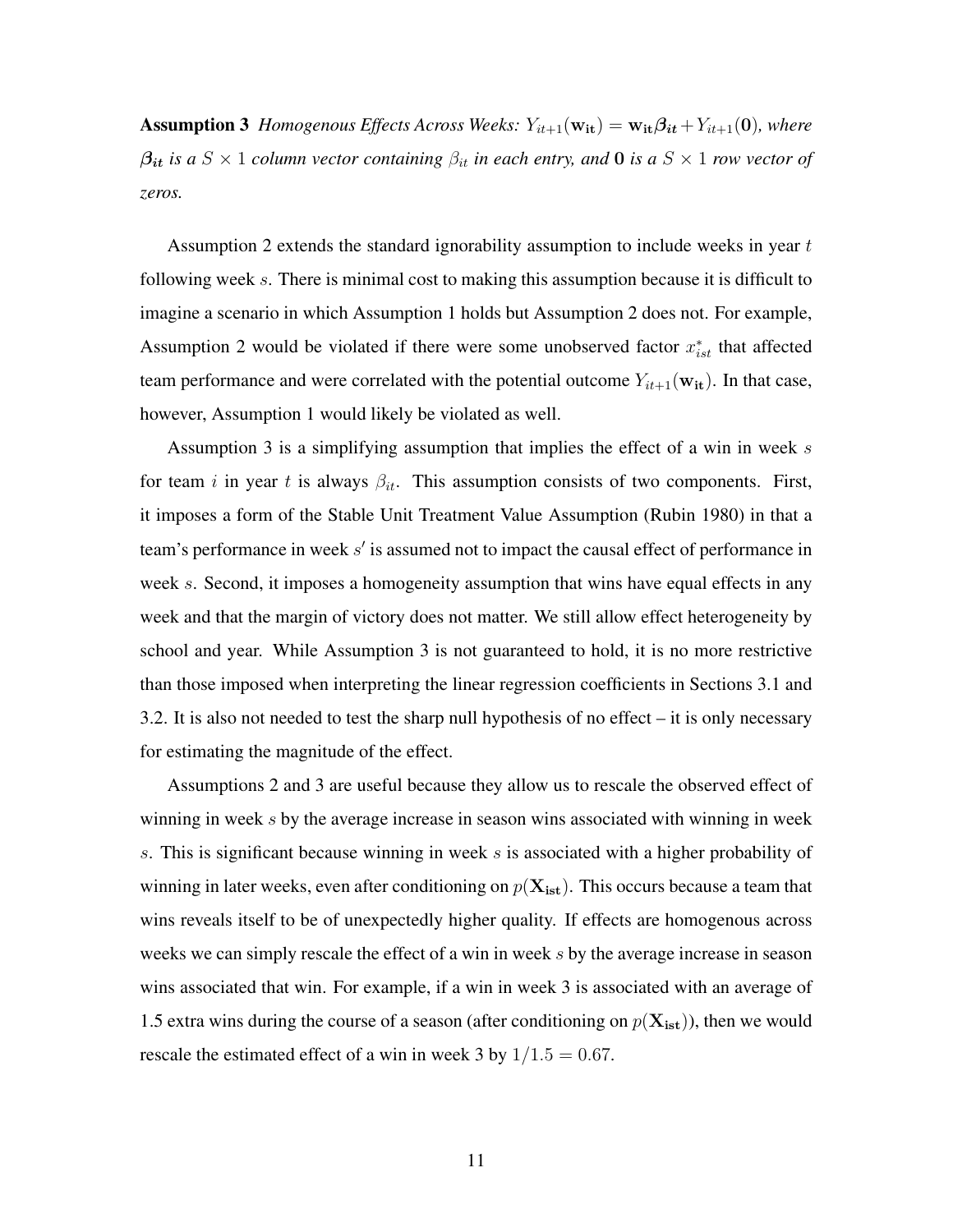**Assumption 3** *Homogenous Effects Across Weeks:*  $Y_{it+1}(\mathbf{w_{it}}) = \mathbf{w_{it}}\beta_{it} + Y_{it+1}(\mathbf{0})$ *, where*  $\beta_{it}$  *is a*  $S \times 1$  *column vector containing*  $\beta_{it}$  *in each entry, and* **0** *is a*  $S \times 1$  *row vector of zeros.*

Assumption 2 extends the standard ignorability assumption to include weeks in year  $t$ following week s. There is minimal cost to making this assumption because it is difficult to imagine a scenario in which Assumption 1 holds but Assumption 2 does not. For example, Assumption 2 would be violated if there were some unobserved factor  $x_{ist}^*$  that affected team performance and were correlated with the potential outcome  $Y_{it+1}(\mathbf{w_{it}})$ . In that case, however, Assumption 1 would likely be violated as well.

Assumption 3 is a simplifying assumption that implies the effect of a win in week s for team i in year t is always  $\beta_{it}$ . This assumption consists of two components. First, it imposes a form of the Stable Unit Treatment Value Assumption (Rubin 1980) in that a team's performance in week  $s'$  is assumed not to impact the causal effect of performance in week s. Second, it imposes a homogeneity assumption that wins have equal effects in any week and that the margin of victory does not matter. We still allow effect heterogeneity by school and year. While Assumption 3 is not guaranteed to hold, it is no more restrictive than those imposed when interpreting the linear regression coefficients in Sections 3.1 and 3.2. It is also not needed to test the sharp null hypothesis of no effect – it is only necessary for estimating the magnitude of the effect.

Assumptions 2 and 3 are useful because they allow us to rescale the observed effect of winning in week  $s$  by the average increase in season wins associated with winning in week s. This is significant because winning in week s is associated with a higher probability of winning in later weeks, even after conditioning on  $p(\mathbf{X_{\text{ist}}})$ . This occurs because a team that wins reveals itself to be of unexpectedly higher quality. If effects are homogenous across weeks we can simply rescale the effect of a win in week s by the average increase in season wins associated that win. For example, if a win in week 3 is associated with an average of 1.5 extra wins during the course of a season (after conditioning on  $p(\mathbf{X_{ist}})$ ), then we would rescale the estimated effect of a win in week 3 by  $1/1.5 = 0.67$ .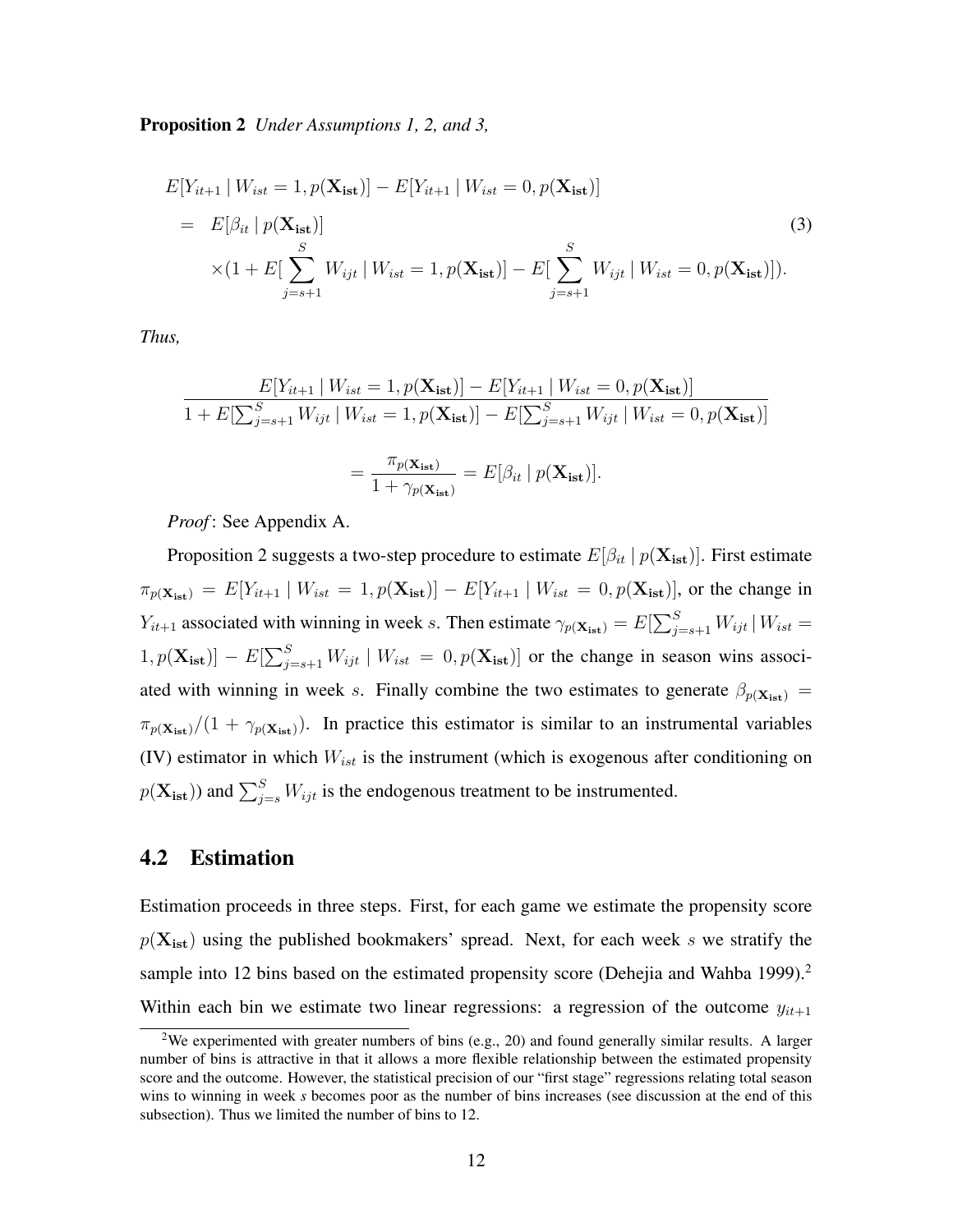Proposition 2 *Under Assumptions 1, 2, and 3,*

$$
E[Y_{it+1} | W_{ist} = 1, p(\mathbf{X_{ist}})] - E[Y_{it+1} | W_{ist} = 0, p(\mathbf{X_{ist}})]
$$
  
=  $E[\beta_{it} | p(\mathbf{X_{ist}})]$   

$$
\times (1 + E[\sum_{j=s+1}^{S} W_{ijt} | W_{ist} = 1, p(\mathbf{X_{ist}})] - E[\sum_{j=s+1}^{S} W_{ijt} | W_{ist} = 0, p(\mathbf{X_{ist}})]).
$$
  
(3)

*Thus,*

$$
\frac{E[Y_{it+1} | W_{ist} = 1, p(\mathbf{X_{ist}})] - E[Y_{it+1} | W_{ist} = 0, p(\mathbf{X_{ist}})]}{1 + E[\sum_{j=s+1}^{S} W_{ijt} | W_{ist} = 1, p(\mathbf{X_{ist}})] - E[\sum_{j=s+1}^{S} W_{ijt} | W_{ist} = 0, p(\mathbf{X_{ist}})]}
$$

$$
= \frac{\pi_{p(\mathbf{X_{ist}})}}{1 + \gamma_{p(\mathbf{X_{ist}})}} = E[\beta_{it} | p(\mathbf{X_{ist}})].
$$

*Proof* : See Appendix A.

Proposition 2 suggests a two-step procedure to estimate  $E[\beta_{it} | p(\mathbf{X_{ist}})]$ . First estimate  $\pi_{p(\mathbf{X_{ist}})} = E[Y_{it+1} | W_{ist} = 1, p(\mathbf{X_{ist}})] - E[Y_{it+1} | W_{ist} = 0, p(\mathbf{X_{ist}})]$ , or the change in  $Y_{it+1}$  associated with winning in week s. Then estimate  $\gamma_{p(\mathbf{X_{ist}})} = E[\sum_{j=s+1}^{S} W_{ijt} | W_{ist} =$  $[1, p(\mathbf{X_{ist}})] - E[\sum_{j=s+1}^{S} W_{ijt} | W_{ist} = 0, p(\mathbf{X_{ist}})]$  or the change in season wins associated with winning in week s. Finally combine the two estimates to generate  $\beta_{p(X_{\text{ist}})} =$  $\pi_{p(\mathbf{X}_{\text{ist}})}/(1 + \gamma_{p(\mathbf{X}_{\text{ist}})})$ . In practice this estimator is similar to an instrumental variables (IV) estimator in which  $W_{ist}$  is the instrument (which is exogenous after conditioning on  $p(\mathbf{X_{ist}})$ ) and  $\sum_{j=s}^{S} W_{ijt}$  is the endogenous treatment to be instrumented.

#### 4.2 Estimation

Estimation proceeds in three steps. First, for each game we estimate the propensity score  $p(\mathbf{X_{ist}})$  using the published bookmakers' spread. Next, for each week s we stratify the sample into 12 bins based on the estimated propensity score (Dehejia and Wahba 1999).<sup>2</sup> Within each bin we estimate two linear regressions: a regression of the outcome  $y_{it+1}$ 

<sup>&</sup>lt;sup>2</sup>We experimented with greater numbers of bins (e.g., 20) and found generally similar results. A larger number of bins is attractive in that it allows a more flexible relationship between the estimated propensity score and the outcome. However, the statistical precision of our "first stage" regressions relating total season wins to winning in week *s* becomes poor as the number of bins increases (see discussion at the end of this subsection). Thus we limited the number of bins to 12.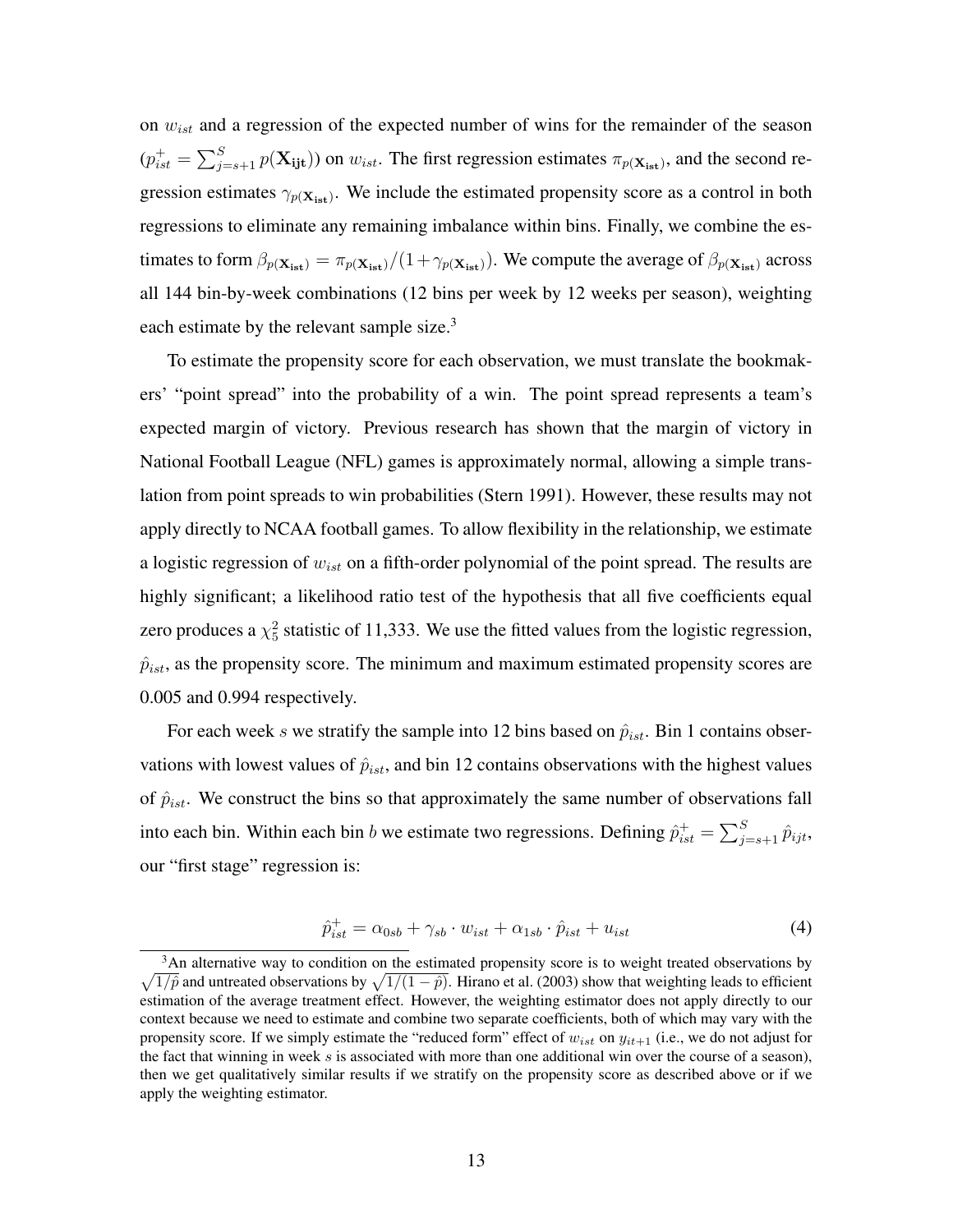on  $w_{ist}$  and a regression of the expected number of wins for the remainder of the season  $(p_{ist}^+ = \sum_{j=s+1}^S p(\mathbf{X_{ijt}}))$  on  $w_{ist}$ . The first regression estimates  $\pi_{p(\mathbf{X_{ist}})}$ , and the second regression estimates  $\gamma_{p(X_{\text{ist}})}$ . We include the estimated propensity score as a control in both regressions to eliminate any remaining imbalance within bins. Finally, we combine the estimates to form  $\beta_{p(X_{\text{ist}})} = \pi_{p(X_{\text{ist}})} / (1 + \gamma_{p(X_{\text{ist}})})$ . We compute the average of  $\beta_{p(X_{\text{ist}})}$  across all 144 bin-by-week combinations (12 bins per week by 12 weeks per season), weighting each estimate by the relevant sample size. $3$ 

To estimate the propensity score for each observation, we must translate the bookmakers' "point spread" into the probability of a win. The point spread represents a team's expected margin of victory. Previous research has shown that the margin of victory in National Football League (NFL) games is approximately normal, allowing a simple translation from point spreads to win probabilities (Stern 1991). However, these results may not apply directly to NCAA football games. To allow flexibility in the relationship, we estimate a logistic regression of  $w_{ist}$  on a fifth-order polynomial of the point spread. The results are highly significant; a likelihood ratio test of the hypothesis that all five coefficients equal zero produces a  $\chi^2$  statistic of 11,333. We use the fitted values from the logistic regression,  $\hat{p}_{ist}$ , as the propensity score. The minimum and maximum estimated propensity scores are 0.005 and 0.994 respectively.

For each week s we stratify the sample into 12 bins based on  $\hat{p}_{ist}$ . Bin 1 contains observations with lowest values of  $\hat{p}_{ist}$ , and bin 12 contains observations with the highest values of  $\hat{p}_{ist}$ . We construct the bins so that approximately the same number of observations fall into each bin. Within each bin b we estimate two regressions. Defining  $\hat{p}_{ist}^+ = \sum_{j=s+1}^S \hat{p}_{ijt}$ , our "first stage" regression is:

$$
\hat{p}_{ist}^{+} = \alpha_{0sb} + \gamma_{sb} \cdot w_{ist} + \alpha_{1sb} \cdot \hat{p}_{ist} + u_{ist} \tag{4}
$$

<sup>&</sup>lt;sup>3</sup>An alternative way to condition on the estimated propensity score is to weight treated observations by  $\sqrt{1/\hat{p}}$  and untreated observations by  $\sqrt{1/(1-\hat{p})}$ . Hirano et al. (2003) show that weighting leads to efficient estimation of the average treatment effect. However, the weighting estimator does not apply directly to our context because we need to estimate and combine two separate coefficients, both of which may vary with the propensity score. If we simply estimate the "reduced form" effect of  $w_{ist}$  on  $y_{it+1}$  (i.e., we do not adjust for the fact that winning in week s is associated with more than one additional win over the course of a season), then we get qualitatively similar results if we stratify on the propensity score as described above or if we apply the weighting estimator.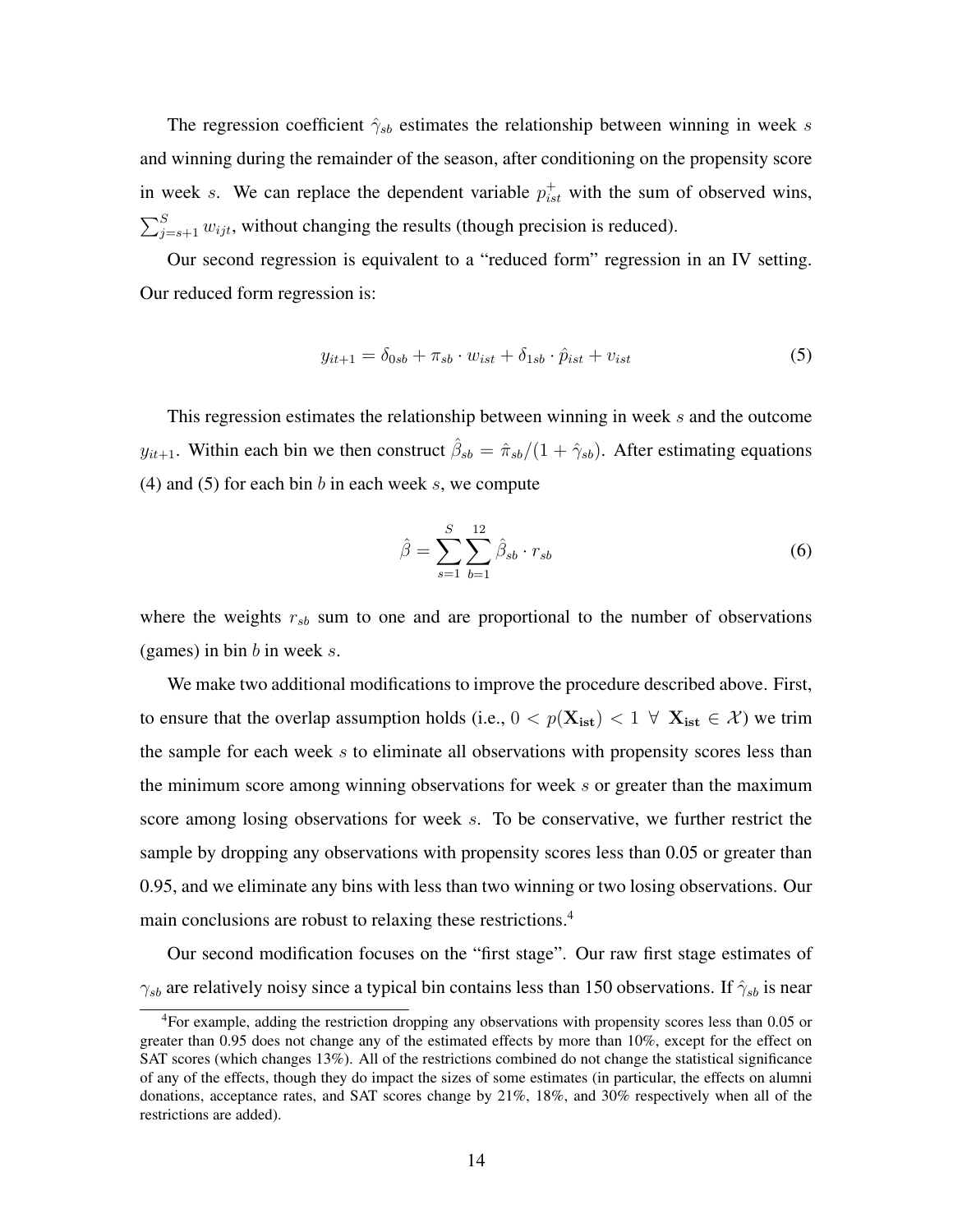The regression coefficient  $\hat{\gamma}_{sb}$  estimates the relationship between winning in week s and winning during the remainder of the season, after conditioning on the propensity score in week s. We can replace the dependent variable  $p_{ist}^+$  with the sum of observed wins,  $\sum_{j=s+1}^{S} w_{ijt}$ , without changing the results (though precision is reduced).

Our second regression is equivalent to a "reduced form" regression in an IV setting. Our reduced form regression is:

$$
y_{it+1} = \delta_{0sb} + \pi_{sb} \cdot w_{ist} + \delta_{1sb} \cdot \hat{p}_{ist} + v_{ist}
$$
 (5)

This regression estimates the relationship between winning in week s and the outcome  $y_{it+1}$ . Within each bin we then construct  $\hat{\beta}_{sb} = \hat{\pi}_{sb}/(1+\hat{\gamma}_{sb})$ . After estimating equations (4) and (5) for each bin  $b$  in each week  $s$ , we compute

$$
\hat{\beta} = \sum_{s=1}^{S} \sum_{b=1}^{12} \hat{\beta}_{sb} \cdot r_{sb} \tag{6}
$$

where the weights  $r_{sb}$  sum to one and are proportional to the number of observations (games) in bin b in week  $s$ .

We make two additional modifications to improve the procedure described above. First, to ensure that the overlap assumption holds (i.e.,  $0 < p(\mathbf{X_{ist}}) < 1 \ \forall \ \mathbf{X_{ist}} \in \mathcal{X}$ ) we trim the sample for each week  $s$  to eliminate all observations with propensity scores less than the minimum score among winning observations for week  $s$  or greater than the maximum score among losing observations for week s. To be conservative, we further restrict the sample by dropping any observations with propensity scores less than 0.05 or greater than 0.95, and we eliminate any bins with less than two winning or two losing observations. Our main conclusions are robust to relaxing these restrictions.<sup>4</sup>

Our second modification focuses on the "first stage". Our raw first stage estimates of  $\gamma_{sb}$  are relatively noisy since a typical bin contains less than 150 observations. If  $\hat{\gamma}_{sb}$  is near

<sup>4</sup>For example, adding the restriction dropping any observations with propensity scores less than 0.05 or greater than 0.95 does not change any of the estimated effects by more than 10%, except for the effect on SAT scores (which changes 13%). All of the restrictions combined do not change the statistical significance of any of the effects, though they do impact the sizes of some estimates (in particular, the effects on alumni donations, acceptance rates, and SAT scores change by 21%, 18%, and 30% respectively when all of the restrictions are added).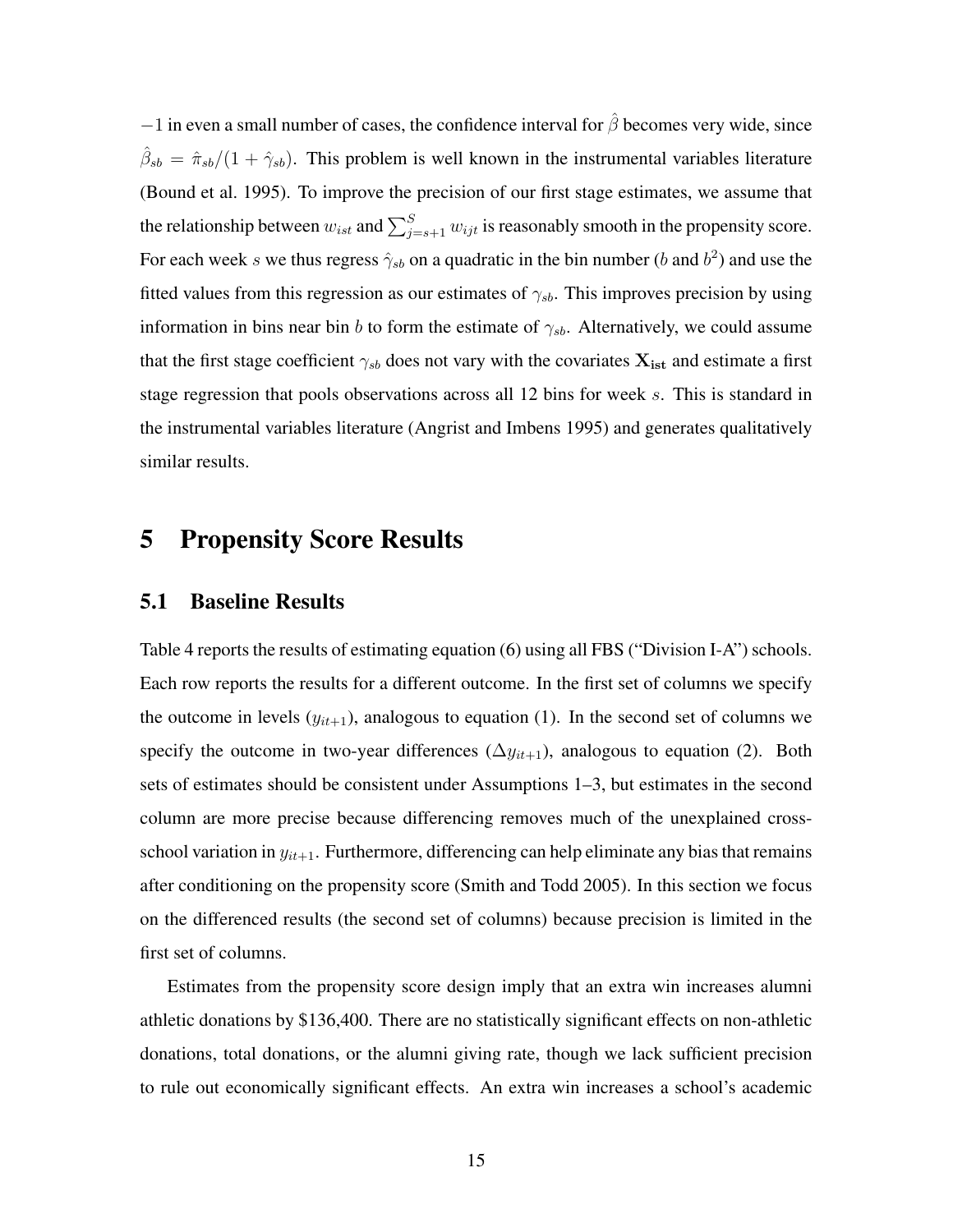$-1$  in even a small number of cases, the confidence interval for  $\hat{\beta}$  becomes very wide, since  $\hat{\beta}_{sb} = \hat{\pi}_{sb}/(1+\hat{\gamma}_{sb})$ . This problem is well known in the instrumental variables literature (Bound et al. 1995). To improve the precision of our first stage estimates, we assume that the relationship between  $w_{ist}$  and  $\sum_{j=s+1}^{S} w_{ijt}$  is reasonably smooth in the propensity score. For each week s we thus regress  $\hat{\gamma}_{sb}$  on a quadratic in the bin number (b and  $b^2$ ) and use the fitted values from this regression as our estimates of  $\gamma_{sb}$ . This improves precision by using information in bins near bin b to form the estimate of  $\gamma_{sb}$ . Alternatively, we could assume that the first stage coefficient  $\gamma_{sb}$  does not vary with the covariates  $X_{ist}$  and estimate a first stage regression that pools observations across all 12 bins for week s. This is standard in the instrumental variables literature (Angrist and Imbens 1995) and generates qualitatively similar results.

### 5 Propensity Score Results

#### 5.1 Baseline Results

Table 4 reports the results of estimating equation (6) using all FBS ("Division I-A") schools. Each row reports the results for a different outcome. In the first set of columns we specify the outcome in levels  $(y_{it+1})$ , analogous to equation (1). In the second set of columns we specify the outcome in two-year differences ( $\Delta y_{it+1}$ ), analogous to equation (2). Both sets of estimates should be consistent under Assumptions 1–3, but estimates in the second column are more precise because differencing removes much of the unexplained crossschool variation in  $y_{it+1}$ . Furthermore, differencing can help eliminate any bias that remains after conditioning on the propensity score (Smith and Todd 2005). In this section we focus on the differenced results (the second set of columns) because precision is limited in the first set of columns.

Estimates from the propensity score design imply that an extra win increases alumni athletic donations by \$136,400. There are no statistically significant effects on non-athletic donations, total donations, or the alumni giving rate, though we lack sufficient precision to rule out economically significant effects. An extra win increases a school's academic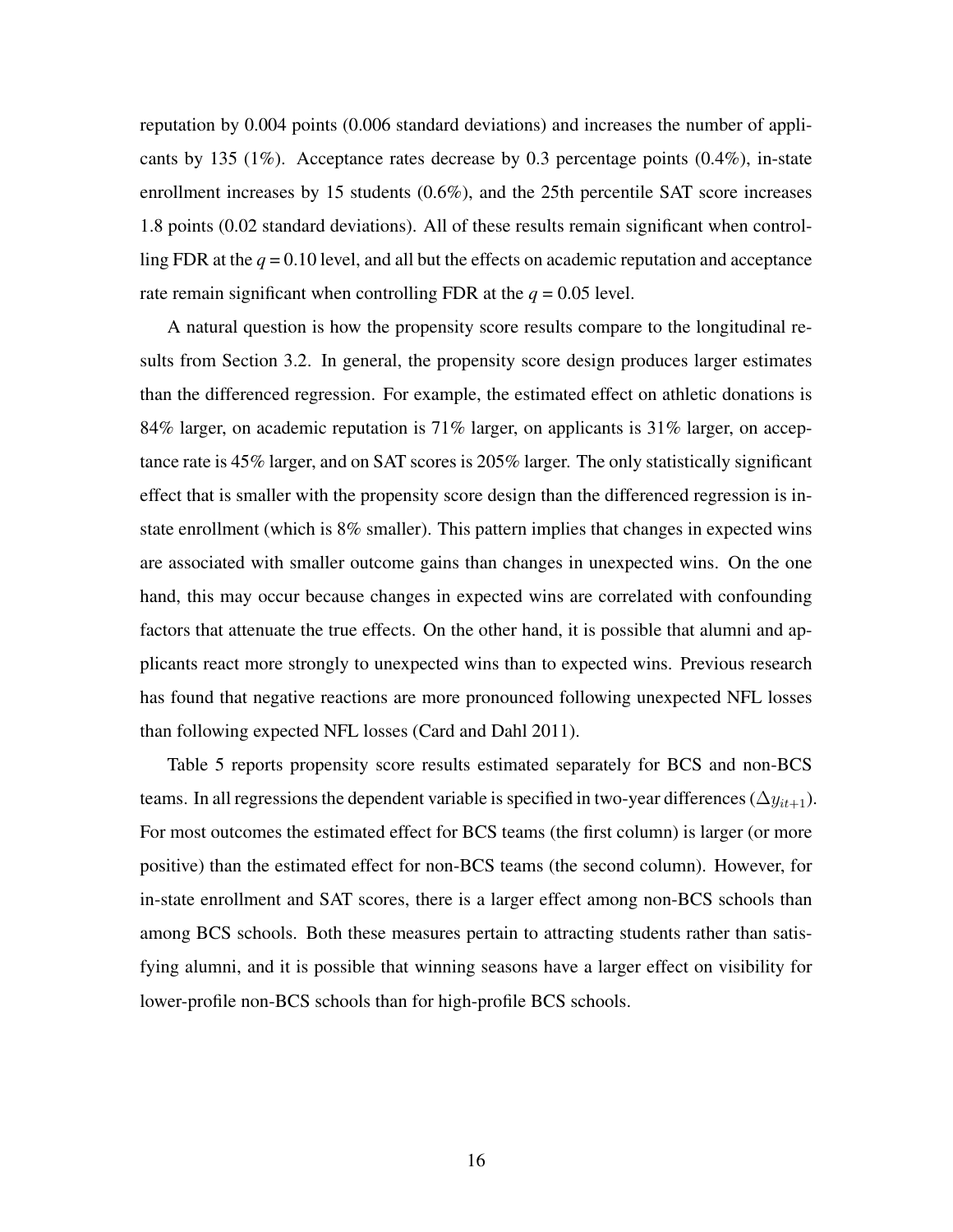reputation by 0.004 points (0.006 standard deviations) and increases the number of applicants by 135 (1%). Acceptance rates decrease by 0.3 percentage points  $(0.4\%)$ , in-state enrollment increases by 15 students (0.6%), and the 25th percentile SAT score increases 1.8 points (0.02 standard deviations). All of these results remain significant when controlling FDR at the  $q = 0.10$  level, and all but the effects on academic reputation and acceptance rate remain significant when controlling FDR at the  $q = 0.05$  level.

A natural question is how the propensity score results compare to the longitudinal results from Section 3.2. In general, the propensity score design produces larger estimates than the differenced regression. For example, the estimated effect on athletic donations is 84% larger, on academic reputation is 71% larger, on applicants is 31% larger, on acceptance rate is 45% larger, and on SAT scores is 205% larger. The only statistically significant effect that is smaller with the propensity score design than the differenced regression is instate enrollment (which is 8% smaller). This pattern implies that changes in expected wins are associated with smaller outcome gains than changes in unexpected wins. On the one hand, this may occur because changes in expected wins are correlated with confounding factors that attenuate the true effects. On the other hand, it is possible that alumni and applicants react more strongly to unexpected wins than to expected wins. Previous research has found that negative reactions are more pronounced following unexpected NFL losses than following expected NFL losses (Card and Dahl 2011).

Table 5 reports propensity score results estimated separately for BCS and non-BCS teams. In all regressions the dependent variable is specified in two-year differences ( $\Delta y_{it+1}$ ). For most outcomes the estimated effect for BCS teams (the first column) is larger (or more positive) than the estimated effect for non-BCS teams (the second column). However, for in-state enrollment and SAT scores, there is a larger effect among non-BCS schools than among BCS schools. Both these measures pertain to attracting students rather than satisfying alumni, and it is possible that winning seasons have a larger effect on visibility for lower-profile non-BCS schools than for high-profile BCS schools.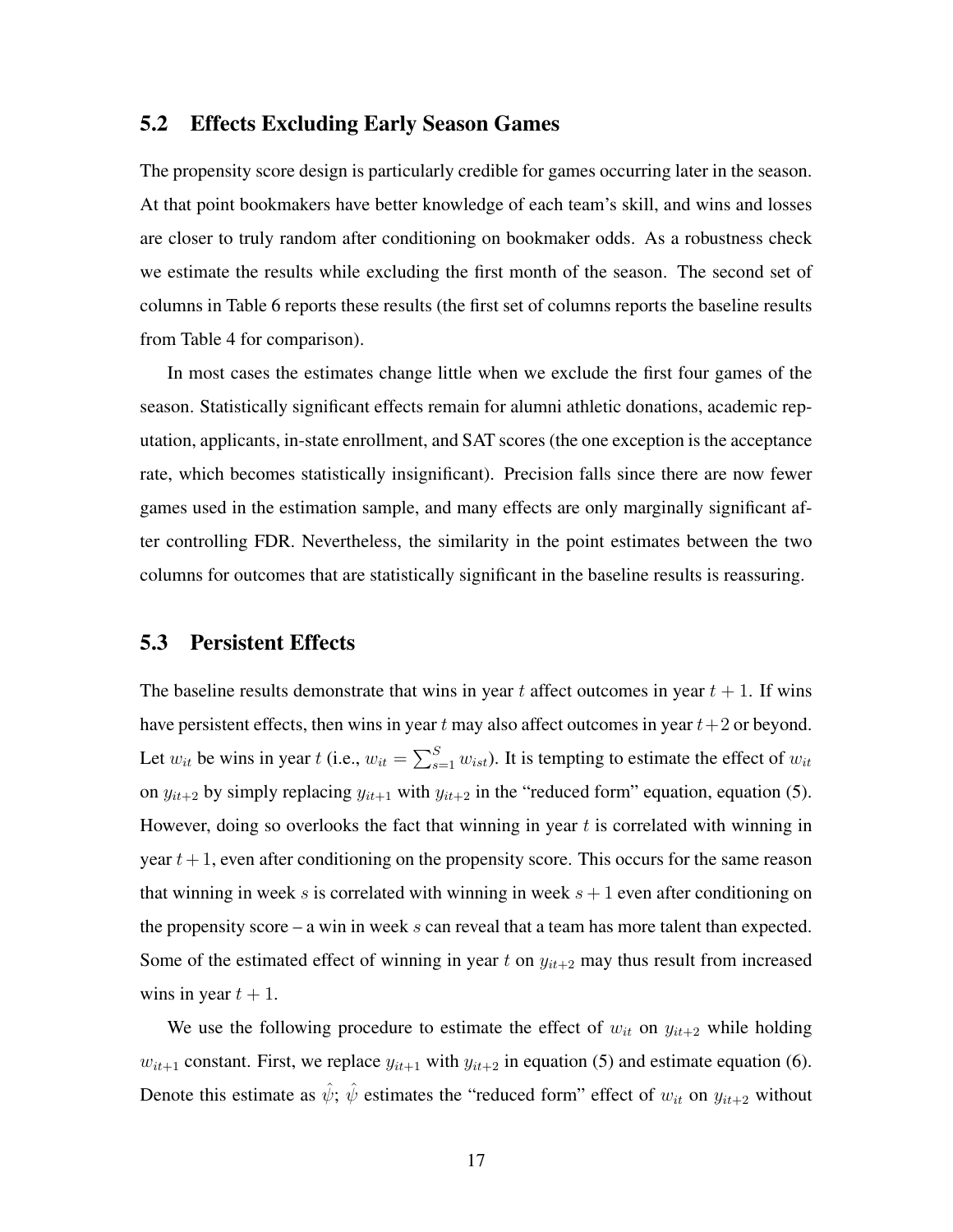### 5.2 Effects Excluding Early Season Games

The propensity score design is particularly credible for games occurring later in the season. At that point bookmakers have better knowledge of each team's skill, and wins and losses are closer to truly random after conditioning on bookmaker odds. As a robustness check we estimate the results while excluding the first month of the season. The second set of columns in Table 6 reports these results (the first set of columns reports the baseline results from Table 4 for comparison).

In most cases the estimates change little when we exclude the first four games of the season. Statistically significant effects remain for alumni athletic donations, academic reputation, applicants, in-state enrollment, and SAT scores (the one exception is the acceptance rate, which becomes statistically insignificant). Precision falls since there are now fewer games used in the estimation sample, and many effects are only marginally significant after controlling FDR. Nevertheless, the similarity in the point estimates between the two columns for outcomes that are statistically significant in the baseline results is reassuring.

#### 5.3 Persistent Effects

The baseline results demonstrate that wins in year t affect outcomes in year  $t + 1$ . If wins have persistent effects, then wins in year t may also affect outcomes in year  $t+2$  or beyond. Let  $w_{it}$  be wins in year t (i.e.,  $w_{it} = \sum_{s=1}^{S} w_{ist}$ ). It is tempting to estimate the effect of  $w_{it}$ on  $y_{it+2}$  by simply replacing  $y_{it+1}$  with  $y_{it+2}$  in the "reduced form" equation, equation (5). However, doing so overlooks the fact that winning in year  $t$  is correlated with winning in year  $t + 1$ , even after conditioning on the propensity score. This occurs for the same reason that winning in week s is correlated with winning in week  $s + 1$  even after conditioning on the propensity score – a win in week  $s$  can reveal that a team has more talent than expected. Some of the estimated effect of winning in year t on  $y_{it+2}$  may thus result from increased wins in year  $t + 1$ .

We use the following procedure to estimate the effect of  $w_{it}$  on  $y_{it+2}$  while holding  $w_{it+1}$  constant. First, we replace  $y_{it+1}$  with  $y_{it+2}$  in equation (5) and estimate equation (6). Denote this estimate as  $\hat{\psi}$ ;  $\hat{\psi}$  estimates the "reduced form" effect of  $w_{it}$  on  $y_{it+2}$  without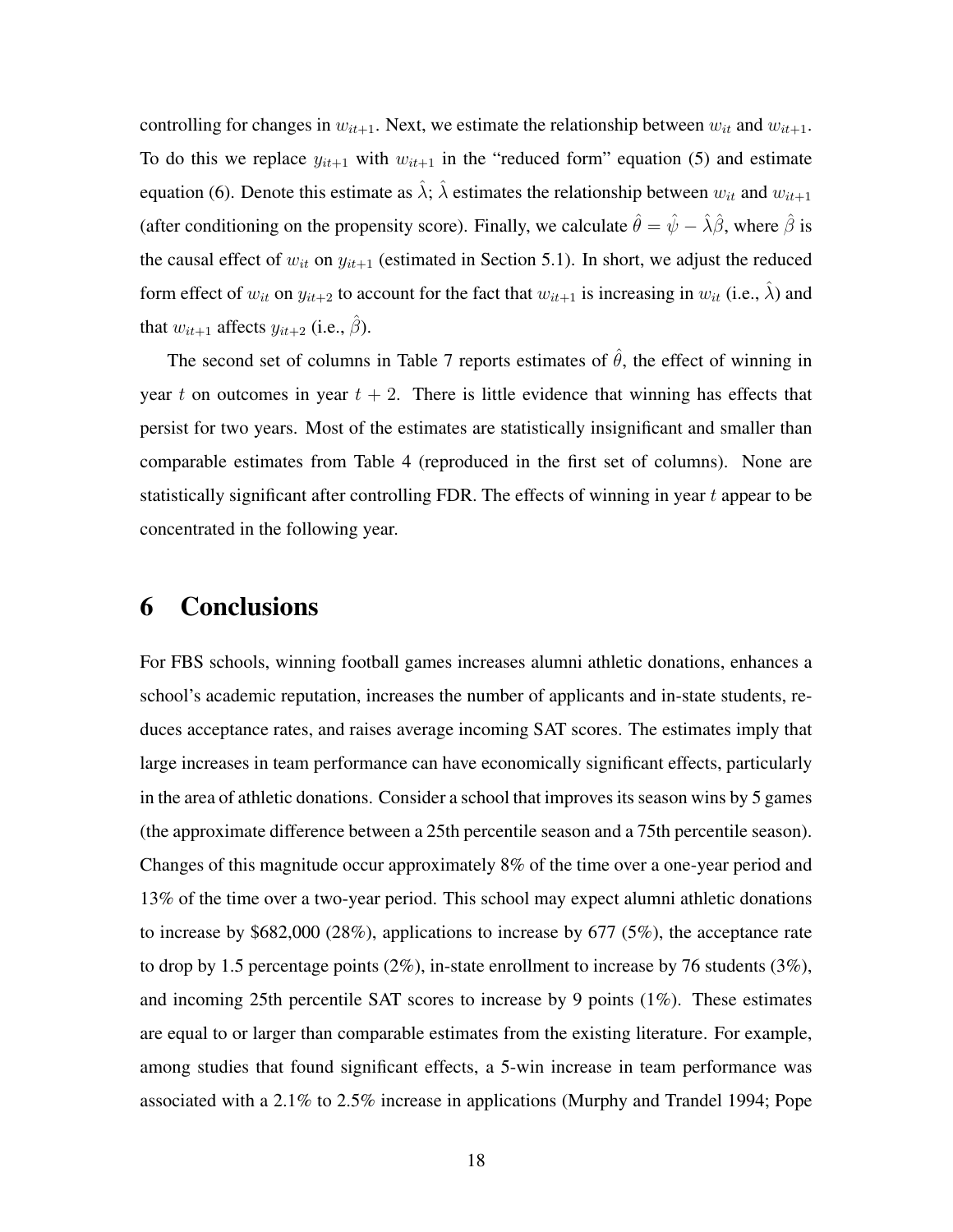controlling for changes in  $w_{it+1}$ . Next, we estimate the relationship between  $w_{it}$  and  $w_{it+1}$ . To do this we replace  $y_{it+1}$  with  $w_{it+1}$  in the "reduced form" equation (5) and estimate equation (6). Denote this estimate as  $\hat{\lambda}$ ;  $\hat{\lambda}$  estimates the relationship between  $w_{it}$  and  $w_{it+1}$ (after conditioning on the propensity score). Finally, we calculate  $\hat{\theta} = \hat{\psi} - \hat{\lambda}\hat{\beta}$ , where  $\hat{\beta}$  is the causal effect of  $w_{it}$  on  $y_{it+1}$  (estimated in Section 5.1). In short, we adjust the reduced form effect of  $w_{it}$  on  $y_{it+2}$  to account for the fact that  $w_{it+1}$  is increasing in  $w_{it}$  (i.e.,  $\hat{\lambda}$ ) and that  $w_{it+1}$  affects  $y_{it+2}$  (i.e.,  $\hat{\beta}$ ).

The second set of columns in Table 7 reports estimates of  $\hat{\theta}$ , the effect of winning in year t on outcomes in year  $t + 2$ . There is little evidence that winning has effects that persist for two years. Most of the estimates are statistically insignificant and smaller than comparable estimates from Table 4 (reproduced in the first set of columns). None are statistically significant after controlling FDR. The effects of winning in year  $t$  appear to be concentrated in the following year.

### 6 Conclusions

For FBS schools, winning football games increases alumni athletic donations, enhances a school's academic reputation, increases the number of applicants and in-state students, reduces acceptance rates, and raises average incoming SAT scores. The estimates imply that large increases in team performance can have economically significant effects, particularly in the area of athletic donations. Consider a school that improves its season wins by 5 games (the approximate difference between a 25th percentile season and a 75th percentile season). Changes of this magnitude occur approximately 8% of the time over a one-year period and 13% of the time over a two-year period. This school may expect alumni athletic donations to increase by \$682,000 (28%), applications to increase by 677 (5%), the acceptance rate to drop by 1.5 percentage points (2%), in-state enrollment to increase by 76 students (3%), and incoming 25th percentile SAT scores to increase by 9 points (1%). These estimates are equal to or larger than comparable estimates from the existing literature. For example, among studies that found significant effects, a 5-win increase in team performance was associated with a 2.1% to 2.5% increase in applications (Murphy and Trandel 1994; Pope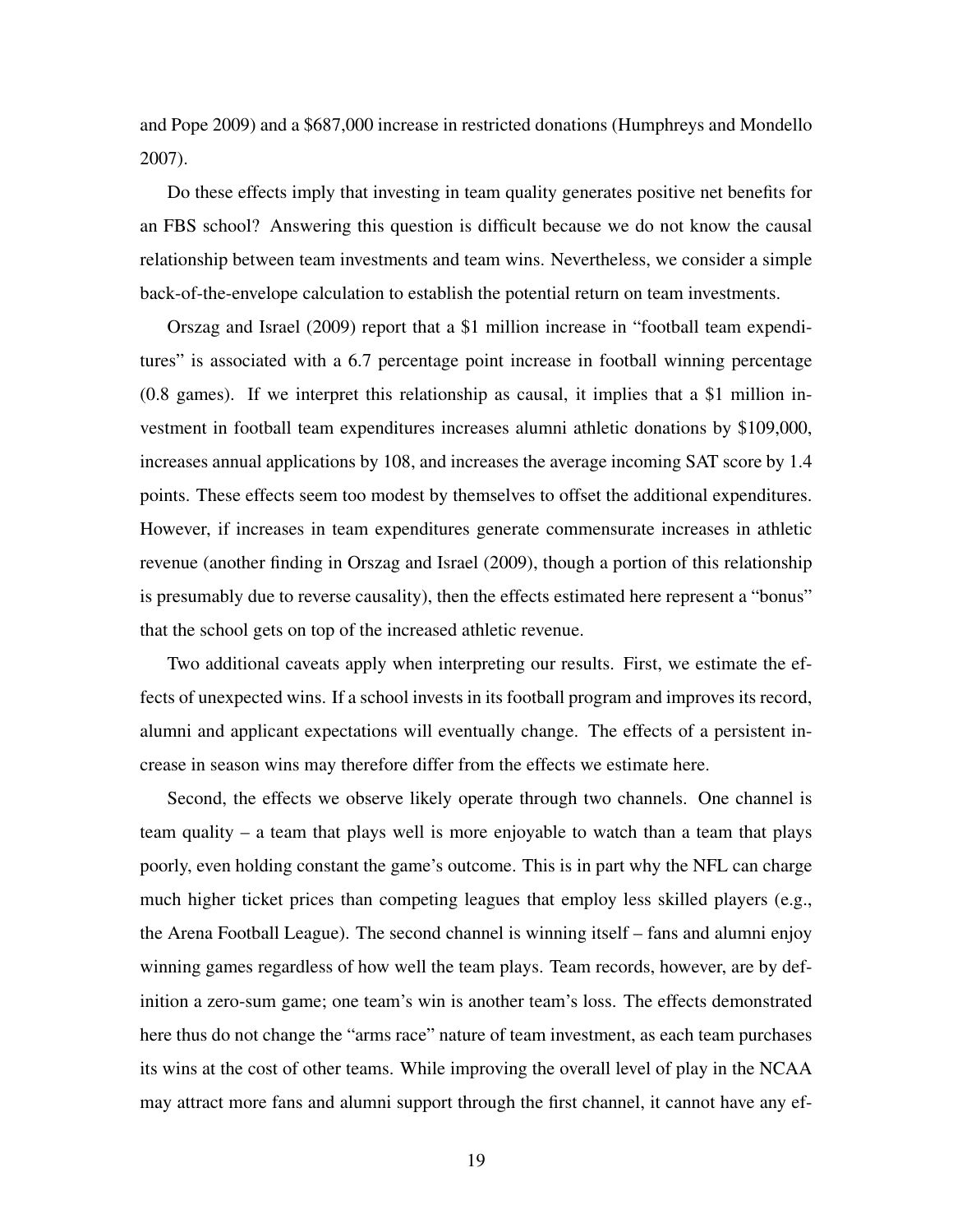and Pope 2009) and a \$687,000 increase in restricted donations (Humphreys and Mondello 2007).

Do these effects imply that investing in team quality generates positive net benefits for an FBS school? Answering this question is difficult because we do not know the causal relationship between team investments and team wins. Nevertheless, we consider a simple back-of-the-envelope calculation to establish the potential return on team investments.

Orszag and Israel (2009) report that a \$1 million increase in "football team expenditures" is associated with a 6.7 percentage point increase in football winning percentage (0.8 games). If we interpret this relationship as causal, it implies that a \$1 million investment in football team expenditures increases alumni athletic donations by \$109,000, increases annual applications by 108, and increases the average incoming SAT score by 1.4 points. These effects seem too modest by themselves to offset the additional expenditures. However, if increases in team expenditures generate commensurate increases in athletic revenue (another finding in Orszag and Israel (2009), though a portion of this relationship is presumably due to reverse causality), then the effects estimated here represent a "bonus" that the school gets on top of the increased athletic revenue.

Two additional caveats apply when interpreting our results. First, we estimate the effects of unexpected wins. If a school invests in its football program and improves its record, alumni and applicant expectations will eventually change. The effects of a persistent increase in season wins may therefore differ from the effects we estimate here.

Second, the effects we observe likely operate through two channels. One channel is team quality – a team that plays well is more enjoyable to watch than a team that plays poorly, even holding constant the game's outcome. This is in part why the NFL can charge much higher ticket prices than competing leagues that employ less skilled players (e.g., the Arena Football League). The second channel is winning itself – fans and alumni enjoy winning games regardless of how well the team plays. Team records, however, are by definition a zero-sum game; one team's win is another team's loss. The effects demonstrated here thus do not change the "arms race" nature of team investment, as each team purchases its wins at the cost of other teams. While improving the overall level of play in the NCAA may attract more fans and alumni support through the first channel, it cannot have any ef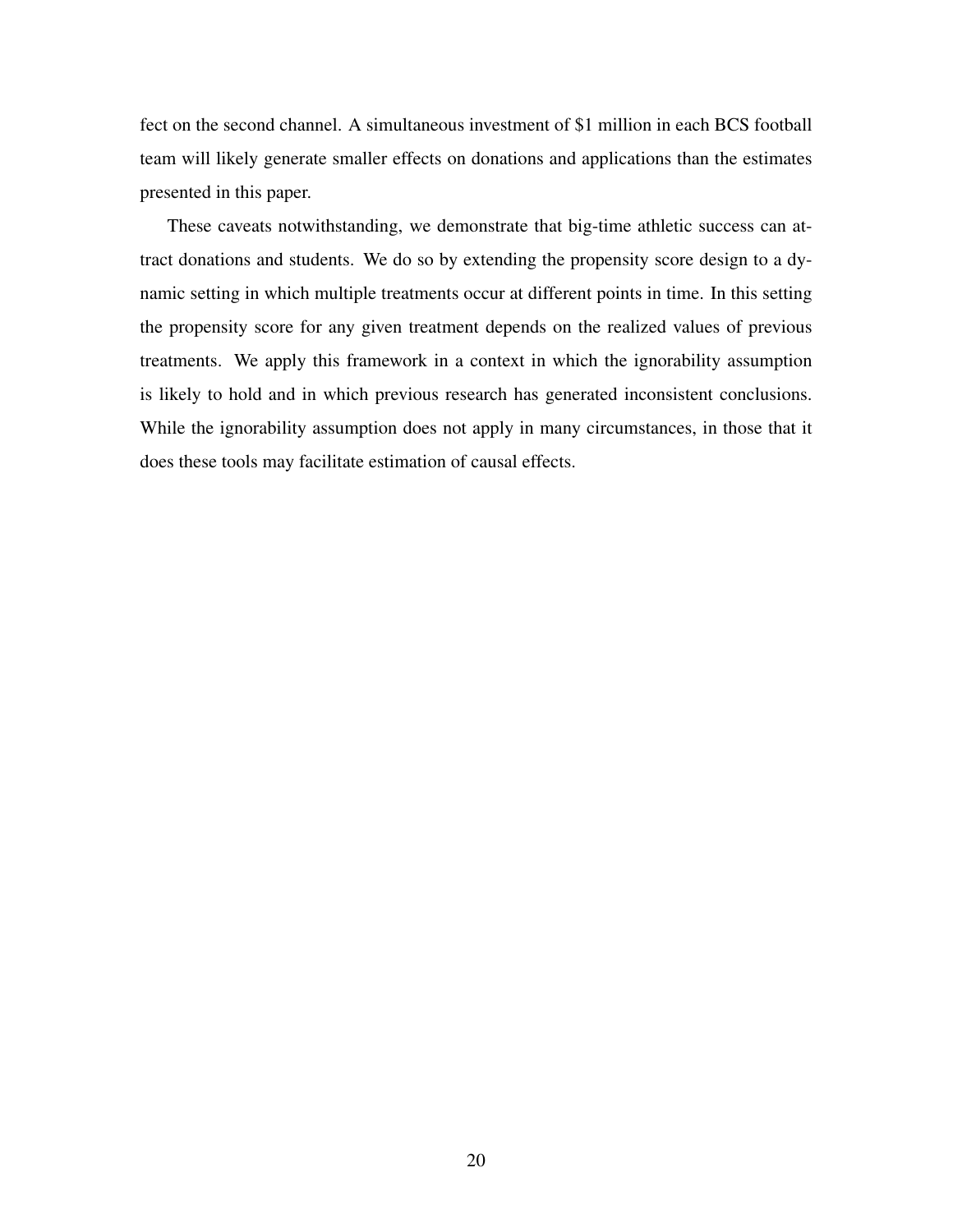fect on the second channel. A simultaneous investment of \$1 million in each BCS football team will likely generate smaller effects on donations and applications than the estimates presented in this paper.

These caveats notwithstanding, we demonstrate that big-time athletic success can attract donations and students. We do so by extending the propensity score design to a dynamic setting in which multiple treatments occur at different points in time. In this setting the propensity score for any given treatment depends on the realized values of previous treatments. We apply this framework in a context in which the ignorability assumption is likely to hold and in which previous research has generated inconsistent conclusions. While the ignorability assumption does not apply in many circumstances, in those that it does these tools may facilitate estimation of causal effects.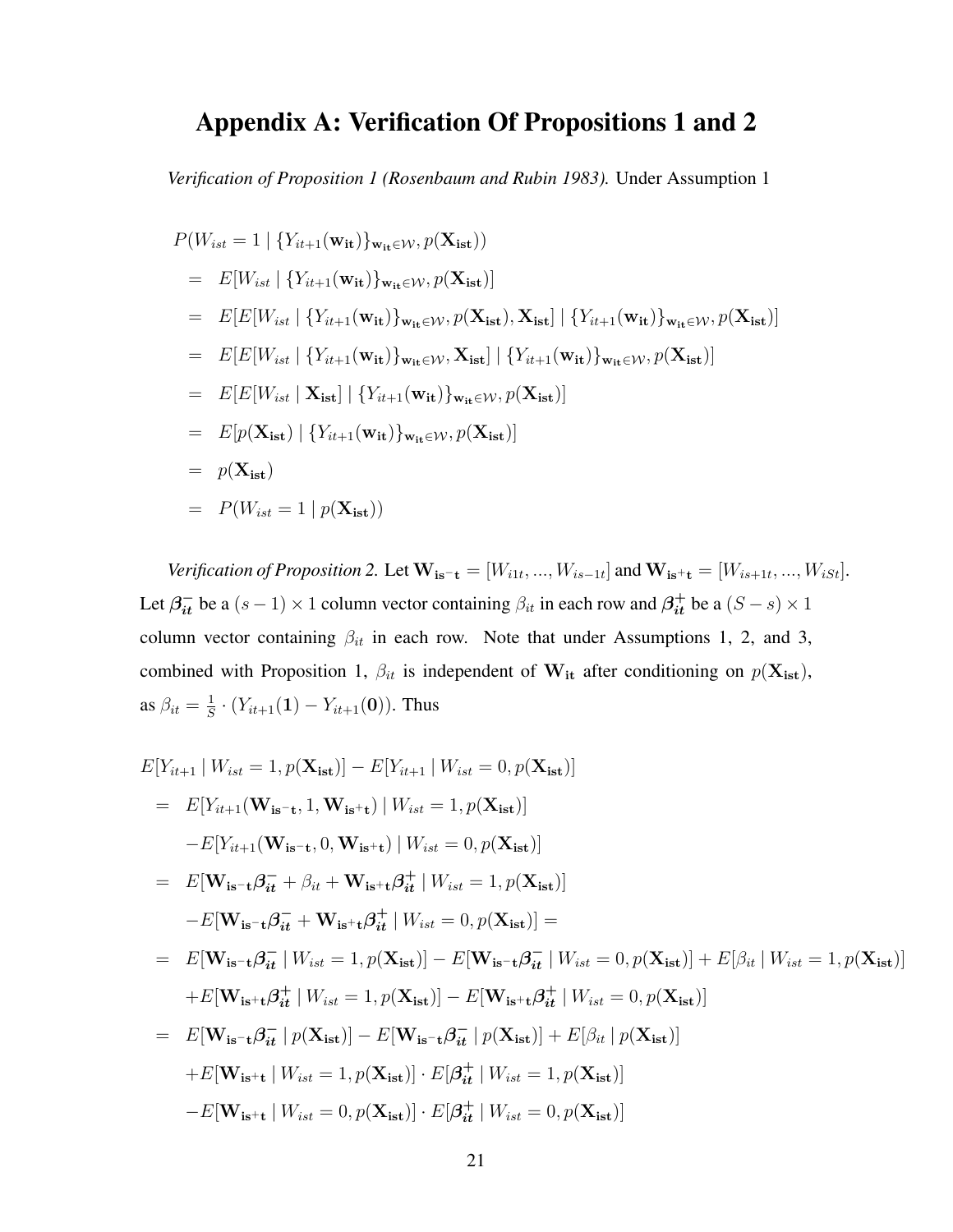## Appendix A: Verification Of Propositions 1 and 2

*Verification of Proposition 1 (Rosenbaum and Rubin 1983).* Under Assumption 1

$$
P(W_{ist} = 1 | \{Y_{it+1}(\mathbf{w}_{it})\}_{\mathbf{w}_{it} \in \mathcal{W}}, p(\mathbf{X}_{ist}))
$$
  
\n
$$
= E[W_{ist} | \{Y_{it+1}(\mathbf{w}_{it})\}_{\mathbf{w}_{it} \in \mathcal{W}}, p(\mathbf{X}_{ist})]
$$
  
\n
$$
= E[E[W_{ist} | \{Y_{it+1}(\mathbf{w}_{it})\}_{\mathbf{w}_{it} \in \mathcal{W}}, p(\mathbf{X}_{ist}), \mathbf{X}_{ist}] | \{Y_{it+1}(\mathbf{w}_{it})\}_{\mathbf{w}_{it} \in \mathcal{W}}, p(\mathbf{X}_{ist})]
$$
  
\n
$$
= E[E[W_{ist} | \{Y_{it+1}(\mathbf{w}_{it})\}_{\mathbf{w}_{it} \in \mathcal{W}}, \mathbf{X}_{ist}] | \{Y_{it+1}(\mathbf{w}_{it})\}_{\mathbf{w}_{it} \in \mathcal{W}}, p(\mathbf{X}_{ist})]
$$
  
\n
$$
= E[E[W_{ist} | \mathbf{X}_{ist}] | \{Y_{it+1}(\mathbf{w}_{it})\}_{\mathbf{w}_{it} \in \mathcal{W}}, p(\mathbf{X}_{ist})]
$$
  
\n
$$
= E[p(\mathbf{X}_{ist}) | \{Y_{it+1}(\mathbf{w}_{it})\}_{\mathbf{w}_{it} \in \mathcal{W}}, p(\mathbf{X}_{ist})]
$$
  
\n
$$
= p(\mathbf{X}_{ist})
$$
  
\n
$$
= P(W_{ist} = 1 | p(\mathbf{X}_{ist}))
$$

*Verification of Proposition 2.* Let  $W_{i} = [W_{i1t},...,W_{is-1t}]$  and  $W_{i}$ <sub>is</sub>+ $_{t} = [W_{is+1t},...,W_{i}$ <sub>ist</sub>]. Let  $\beta_{it}^-$  be a  $(s-1) \times 1$  column vector containing  $\beta_{it}$  in each row and  $\beta_{it}^+$  be a  $(S-s) \times 1$ column vector containing  $\beta_{it}$  in each row. Note that under Assumptions 1, 2, and 3, combined with Proposition 1,  $\beta_{it}$  is independent of  $W_{it}$  after conditioning on  $p(X_{ist})$ , as  $\beta_{it} = \frac{1}{S}$  $\frac{1}{S} \cdot (Y_{it+1}(1) - Y_{it+1}(0)).$  Thus

$$
E[Y_{it+1} | W_{ist} = 1, p(\mathbf{X}_{ist})] - E[Y_{it+1} | W_{ist} = 0, p(\mathbf{X}_{ist})]
$$
  
\n
$$
= E[Y_{it+1}(\mathbf{W}_{is-t}, 1, \mathbf{W}_{is+t}) | W_{ist} = 1, p(\mathbf{X}_{ist})]
$$
  
\n
$$
-E[Y_{it+1}(\mathbf{W}_{is-t}, 0, \mathbf{W}_{is+t}) | W_{ist} = 0, p(\mathbf{X}_{ist})]
$$
  
\n
$$
= E[\mathbf{W}_{is-t}\beta_{it} + \beta_{it} + \mathbf{W}_{is+t}\beta_{it}^{\dagger} | W_{ist} = 1, p(\mathbf{X}_{ist})]
$$
  
\n
$$
-E[\mathbf{W}_{is-t}\beta_{it}^{\dagger} + \mathbf{W}_{is+t}\beta_{it}^{\dagger} | W_{ist} = 0, p(\mathbf{X}_{ist})] =
$$
  
\n
$$
= E[\mathbf{W}_{is-t}\beta_{it}^{\dagger} | W_{ist} = 1, p(\mathbf{X}_{ist})] - E[\mathbf{W}_{is-t}\beta_{it}^{\dagger} | W_{ist} = 0, p(\mathbf{X}_{ist})] + E[\beta_{it} | W_{ist} = 1, p(\mathbf{X}_{ist})]
$$
  
\n
$$
+ E[\mathbf{W}_{is+t}\beta_{it}^{\dagger} | W_{ist} = 1, p(\mathbf{X}_{ist})] - E[\mathbf{W}_{is+t}\beta_{it}^{\dagger} | W_{ist} = 0, p(\mathbf{X}_{ist})]
$$
  
\n
$$
= E[\mathbf{W}_{is-t}\beta_{it}^{\dagger} | p(\mathbf{X}_{ist})] - E[\mathbf{W}_{is-t}\beta_{it}^{\dagger} | p(\mathbf{X}_{ist})] + E[\beta_{it} | p(\mathbf{X}_{ist})]
$$
  
\n
$$
+ E[\mathbf{W}_{is+t} | W_{ist} = 1, p(\mathbf{X}_{ist})] \cdot E[\beta_{it}^{\dagger} | W_{ist} = 1, p(\mathbf{X}_{ist})]
$$
  
\n
$$
- E[\mathbf{W}_{is+t} | W_{ist} = 0, p(\mathbf{X}_{ist})] \cdot E[\beta_{it}^{\dagger} | W_{ist} = 0, p(\mathbf{X}_{ist})]
$$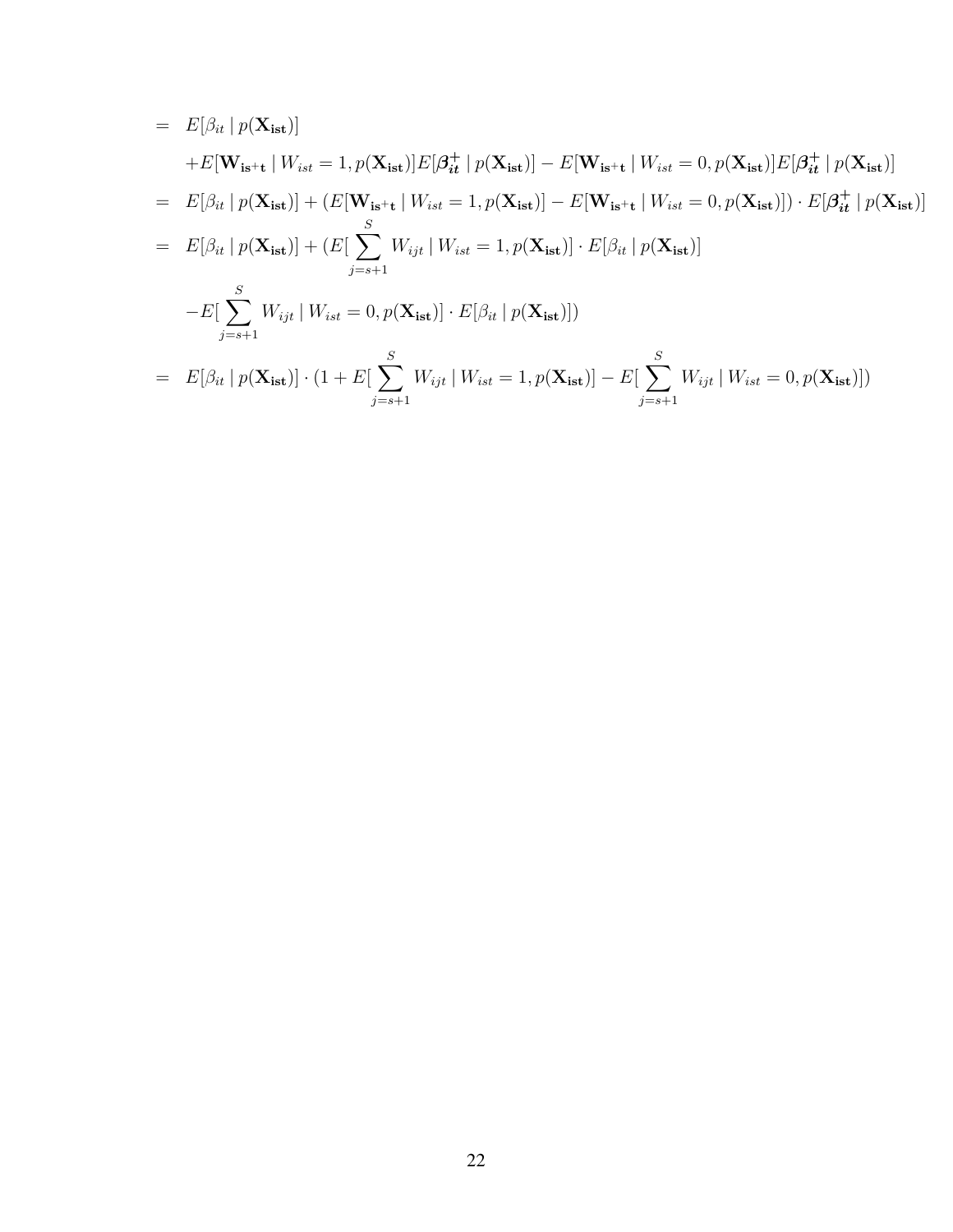$$
= E[\beta_{it} | p(\mathbf{X}_{\text{ist}})]
$$
  
\n
$$
+ E[\mathbf{W}_{\text{is}} + \mathbf{W}_{\text{ist}} = 1, p(\mathbf{X}_{\text{ist}})]E[\beta_{it}^{+} | p(\mathbf{X}_{\text{ist}})] - E[\mathbf{W}_{\text{is}} + \mathbf{W}_{\text{ist}} = 0, p(\mathbf{X}_{\text{ist}})]E[\beta_{it}^{+} | p(\mathbf{X}_{\text{ist}})]
$$
  
\n
$$
= E[\beta_{it} | p(\mathbf{X}_{\text{ist}})] + (E[\mathbf{W}_{\text{is}} + \mathbf{W}_{\text{ist}} = 1, p(\mathbf{X}_{\text{ist}})] - E[\mathbf{W}_{\text{is}} + \mathbf{W}_{\text{ist}} = 0, p(\mathbf{X}_{\text{ist}})]) \cdot E[\beta_{it} | p(\mathbf{X}_{\text{ist}})]
$$
  
\n
$$
= E[\beta_{it} | p(\mathbf{X}_{\text{ist}})] + (E[\sum_{j=s+1}^{S} W_{ijt} | W_{\text{ist}} = 1, p(\mathbf{X}_{\text{ist}})] \cdot E[\beta_{it} | p(\mathbf{X}_{\text{ist}})]
$$
  
\n
$$
- E[\sum_{j=s+1}^{S} W_{ijt} | W_{\text{ist}} = 0, p(\mathbf{X}_{\text{ist}})] \cdot E[\beta_{it} | p(\mathbf{X}_{\text{ist}})])
$$
  
\n
$$
= E[\beta_{it} | p(\mathbf{X}_{\text{ist}})] \cdot (1 + E[\sum_{j=s+1}^{S} W_{ijt} | W_{\text{ist}} = 1, p(\mathbf{X}_{\text{ist}})] - E[\sum_{j=s+1}^{S} W_{ijt} | W_{\text{ist}} = 0, p(\mathbf{X}_{\text{ist}})])
$$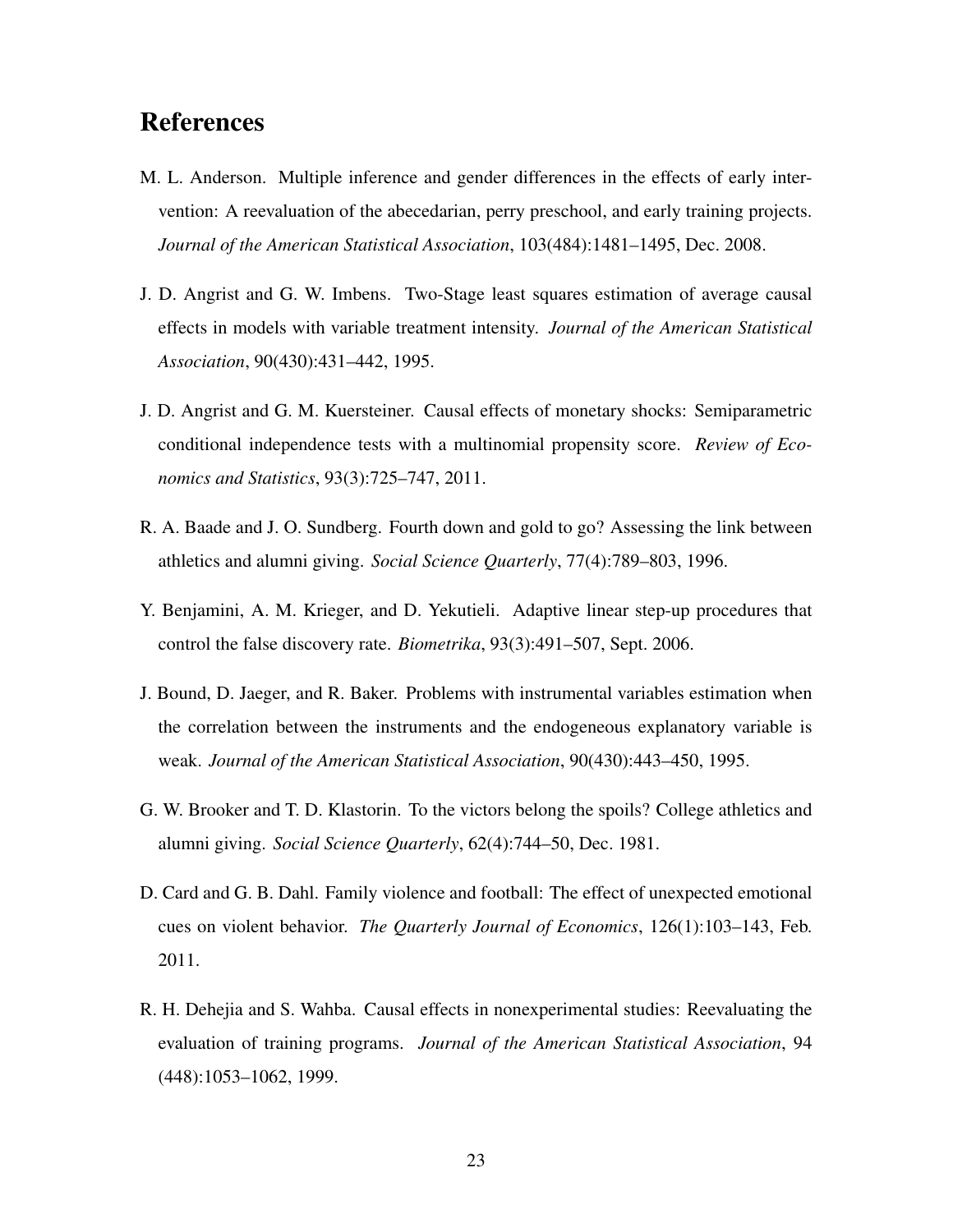## References

- M. L. Anderson. Multiple inference and gender differences in the effects of early intervention: A reevaluation of the abecedarian, perry preschool, and early training projects. *Journal of the American Statistical Association*, 103(484):1481–1495, Dec. 2008.
- J. D. Angrist and G. W. Imbens. Two-Stage least squares estimation of average causal effects in models with variable treatment intensity. *Journal of the American Statistical Association*, 90(430):431–442, 1995.
- J. D. Angrist and G. M. Kuersteiner. Causal effects of monetary shocks: Semiparametric conditional independence tests with a multinomial propensity score. *Review of Economics and Statistics*, 93(3):725–747, 2011.
- R. A. Baade and J. O. Sundberg. Fourth down and gold to go? Assessing the link between athletics and alumni giving. *Social Science Quarterly*, 77(4):789–803, 1996.
- Y. Benjamini, A. M. Krieger, and D. Yekutieli. Adaptive linear step-up procedures that control the false discovery rate. *Biometrika*, 93(3):491–507, Sept. 2006.
- J. Bound, D. Jaeger, and R. Baker. Problems with instrumental variables estimation when the correlation between the instruments and the endogeneous explanatory variable is weak. *Journal of the American Statistical Association*, 90(430):443–450, 1995.
- G. W. Brooker and T. D. Klastorin. To the victors belong the spoils? College athletics and alumni giving. *Social Science Quarterly*, 62(4):744–50, Dec. 1981.
- D. Card and G. B. Dahl. Family violence and football: The effect of unexpected emotional cues on violent behavior. *The Quarterly Journal of Economics*, 126(1):103–143, Feb. 2011.
- R. H. Dehejia and S. Wahba. Causal effects in nonexperimental studies: Reevaluating the evaluation of training programs. *Journal of the American Statistical Association*, 94 (448):1053–1062, 1999.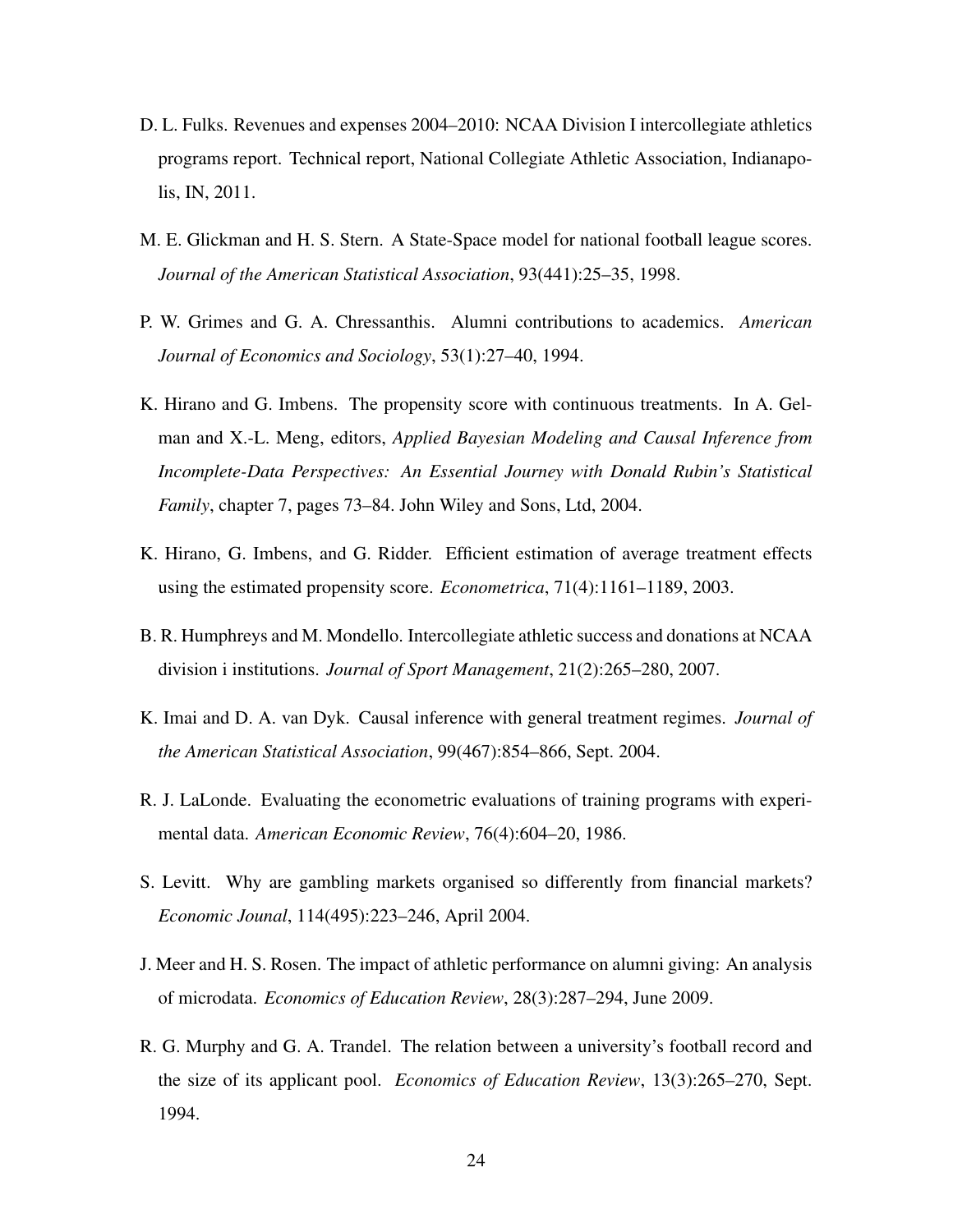- D. L. Fulks. Revenues and expenses 2004–2010: NCAA Division I intercollegiate athletics programs report. Technical report, National Collegiate Athletic Association, Indianapolis, IN, 2011.
- M. E. Glickman and H. S. Stern. A State-Space model for national football league scores. *Journal of the American Statistical Association*, 93(441):25–35, 1998.
- P. W. Grimes and G. A. Chressanthis. Alumni contributions to academics. *American Journal of Economics and Sociology*, 53(1):27–40, 1994.
- K. Hirano and G. Imbens. The propensity score with continuous treatments. In A. Gelman and X.-L. Meng, editors, *Applied Bayesian Modeling and Causal Inference from Incomplete-Data Perspectives: An Essential Journey with Donald Rubin's Statistical Family*, chapter 7, pages 73–84. John Wiley and Sons, Ltd, 2004.
- K. Hirano, G. Imbens, and G. Ridder. Efficient estimation of average treatment effects using the estimated propensity score. *Econometrica*, 71(4):1161–1189, 2003.
- B. R. Humphreys and M. Mondello. Intercollegiate athletic success and donations at NCAA division i institutions. *Journal of Sport Management*, 21(2):265–280, 2007.
- K. Imai and D. A. van Dyk. Causal inference with general treatment regimes. *Journal of the American Statistical Association*, 99(467):854–866, Sept. 2004.
- R. J. LaLonde. Evaluating the econometric evaluations of training programs with experimental data. *American Economic Review*, 76(4):604–20, 1986.
- S. Levitt. Why are gambling markets organised so differently from financial markets? *Economic Jounal*, 114(495):223–246, April 2004.
- J. Meer and H. S. Rosen. The impact of athletic performance on alumni giving: An analysis of microdata. *Economics of Education Review*, 28(3):287–294, June 2009.
- R. G. Murphy and G. A. Trandel. The relation between a university's football record and the size of its applicant pool. *Economics of Education Review*, 13(3):265–270, Sept. 1994.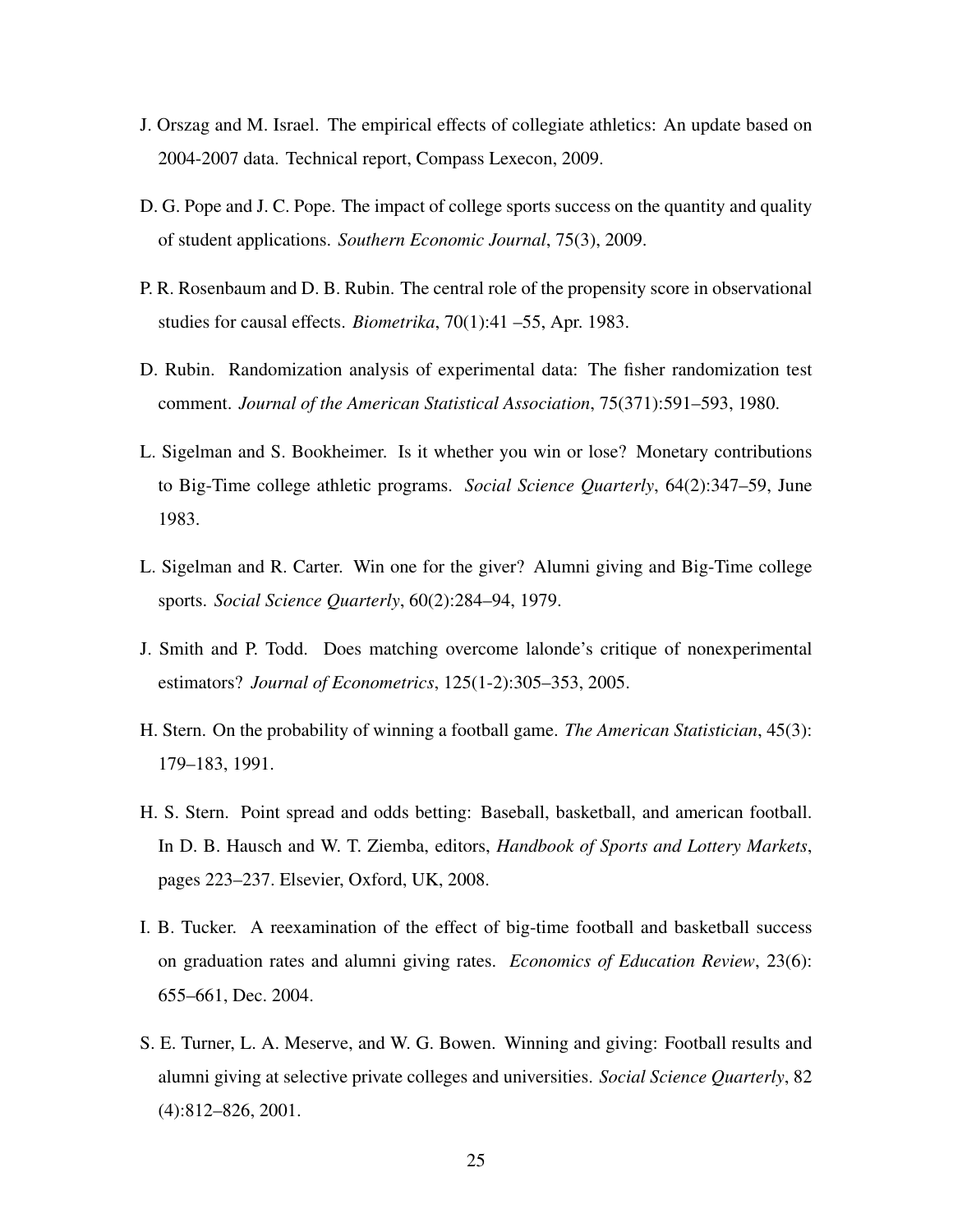- J. Orszag and M. Israel. The empirical effects of collegiate athletics: An update based on 2004-2007 data. Technical report, Compass Lexecon, 2009.
- D. G. Pope and J. C. Pope. The impact of college sports success on the quantity and quality of student applications. *Southern Economic Journal*, 75(3), 2009.
- P. R. Rosenbaum and D. B. Rubin. The central role of the propensity score in observational studies for causal effects. *Biometrika*, 70(1):41 –55, Apr. 1983.
- D. Rubin. Randomization analysis of experimental data: The fisher randomization test comment. *Journal of the American Statistical Association*, 75(371):591–593, 1980.
- L. Sigelman and S. Bookheimer. Is it whether you win or lose? Monetary contributions to Big-Time college athletic programs. *Social Science Quarterly*, 64(2):347–59, June 1983.
- L. Sigelman and R. Carter. Win one for the giver? Alumni giving and Big-Time college sports. *Social Science Quarterly*, 60(2):284–94, 1979.
- J. Smith and P. Todd. Does matching overcome lalonde's critique of nonexperimental estimators? *Journal of Econometrics*, 125(1-2):305–353, 2005.
- H. Stern. On the probability of winning a football game. *The American Statistician*, 45(3): 179–183, 1991.
- H. S. Stern. Point spread and odds betting: Baseball, basketball, and american football. In D. B. Hausch and W. T. Ziemba, editors, *Handbook of Sports and Lottery Markets*, pages 223–237. Elsevier, Oxford, UK, 2008.
- I. B. Tucker. A reexamination of the effect of big-time football and basketball success on graduation rates and alumni giving rates. *Economics of Education Review*, 23(6): 655–661, Dec. 2004.
- S. E. Turner, L. A. Meserve, and W. G. Bowen. Winning and giving: Football results and alumni giving at selective private colleges and universities. *Social Science Quarterly*, 82 (4):812–826, 2001.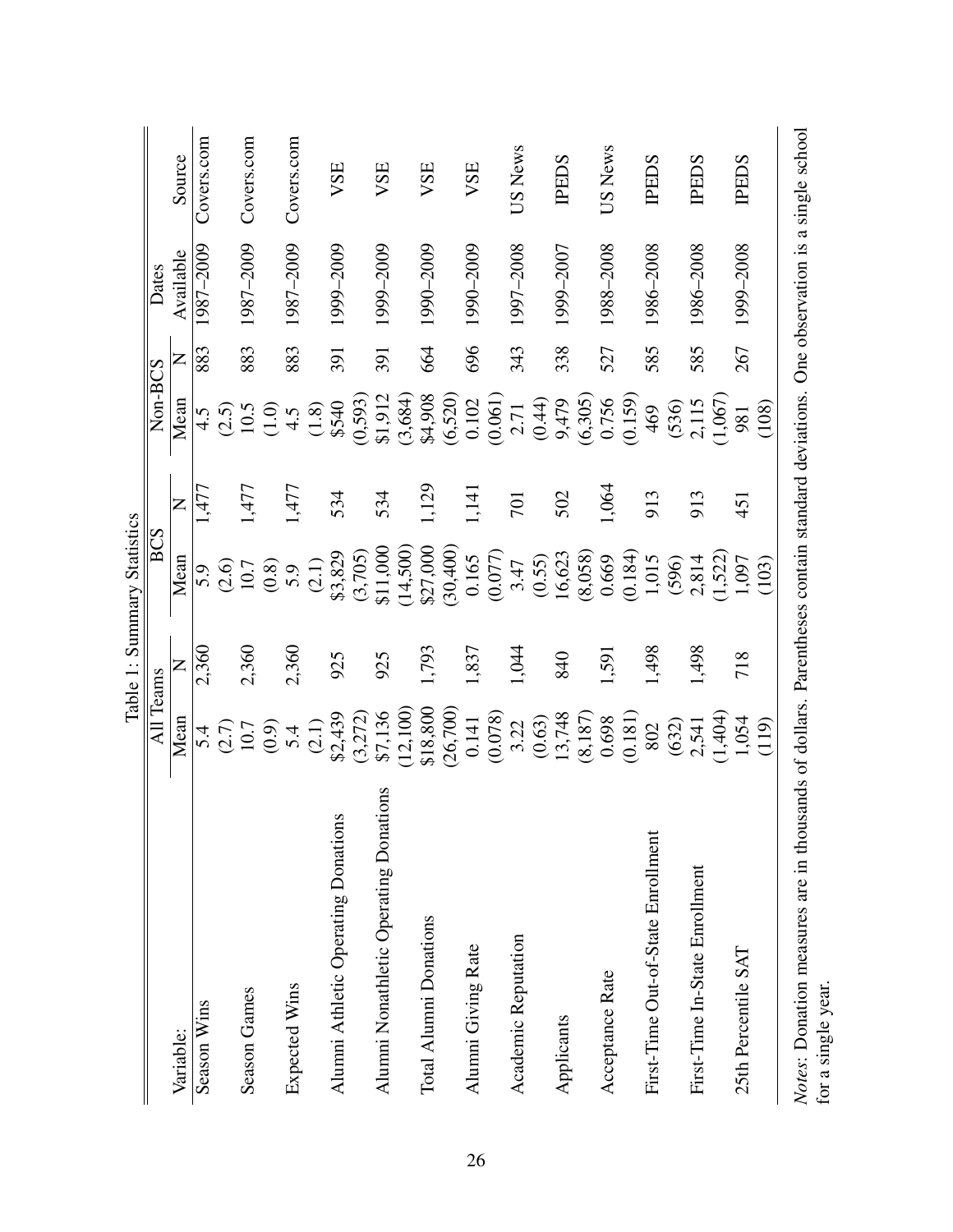|                                                            |           |       | Table 1: Summary Statistics                                |                |         |     |           |                                    |
|------------------------------------------------------------|-----------|-------|------------------------------------------------------------|----------------|---------|-----|-----------|------------------------------------|
|                                                            | All Teams |       | BCS                                                        |                | Non-BCS |     | Dates     |                                    |
| Variable:                                                  | Mean      | Z     | Mean                                                       | $\overline{Z}$ | Mean    | Z   | Available | Source                             |
| Season Wins                                                | 5.4       | 2,360 | 5.0                                                        | ,477           | 4.5     | 883 | 1987–2009 | Covers.com                         |
|                                                            | (2.7)     |       | (2.6)                                                      |                | (2.5)   |     |           |                                    |
| <b>Season Games</b>                                        | 10.7      | 2,360 | 10.7                                                       | 1,477          | 10.5    | 883 | 1987-2009 | Covers.com                         |
|                                                            | (0.9)     |       | (0.8)                                                      |                | (1.0)   |     |           |                                    |
| Expected Wins                                              | 5.4       | 2,360 | 5.9                                                        | 1,477          | 4.5     | 883 | 1987-2009 | Covers.com                         |
|                                                            | (2.1)     |       | (2.1)                                                      |                | (1.8)   |     |           |                                    |
| S<br>Alumni Athletic Operating Donation                    | \$2,439   | 925   | \$3,829                                                    | 534            | \$540   | 391 | 1999–2009 | VSE                                |
|                                                            | (3,272)   |       | (3,705)                                                    |                | (0,593) |     |           |                                    |
| Alumni Nonathletic Operating Donations                     | \$7,136   | 925   | \$11,000                                                   | 534            | \$1,912 | 391 | 1999–2009 | VSE                                |
|                                                            | (12,100)  |       | (14,500)                                                   |                | (3,684) |     |           |                                    |
| Total Alumni Donations                                     | \$18,800  | 1,793 | \$27,000                                                   | 1,129          | \$4,908 | 664 | 1990-2009 | VSE                                |
|                                                            | (26,700)  |       | (30,400)                                                   |                | (6,520) |     |           |                                    |
| Alumni Giving Rate                                         | 0.141     | 1,837 | 0.165                                                      | 1,141          | 0.102   | 696 | 1990–2009 | VSE                                |
|                                                            | (0.078)   |       | (0.077)                                                    |                | (0.061) |     |           |                                    |
| Academic Reputation                                        | 3.22      | 1,044 | 3.47                                                       | 701            | 2.71    | 343 | 1997-2008 | US News                            |
|                                                            | (0.63)    |       | (0.55)                                                     |                | (0.44)  |     |           |                                    |
| Applicants                                                 | 13,748    | 840   | 16,623                                                     | 502            | 9,479   | 338 | 1999–2007 | <b>IPEDS</b>                       |
|                                                            | (8,187)   |       | (8,058)                                                    |                | (6,305) |     |           |                                    |
| Acceptance Rate                                            | 0.698     | 1,591 | 0.669                                                      | 1,064          | 0.756   | 527 | 1988-2008 | US News                            |
|                                                            | (0.181)   |       | (0.184)                                                    |                | (0.159) |     |           |                                    |
| First-Time Out-of-State Enrollment                         | 802       | 1,498 | 1,015                                                      | 913            | 469     | 585 | 1986-2008 | <b>THES</b>                        |
|                                                            | (632)     |       | (596)                                                      |                | (536)   |     |           |                                    |
| First-Time In-State Enrollment                             | 2,541     | 1,498 | 2,814                                                      | 913            | 2,115   | 585 | 1986-2008 | <b>IPEDS</b>                       |
|                                                            | (1,404)   |       | (1,522)                                                    |                | (1,067) |     |           |                                    |
| 25th Percentile SAT                                        | 1,054     | 718   | 1,097                                                      | 451            | 981     | 267 | 1999–2008 | <b>TPEDS</b>                       |
|                                                            | (119)     |       | (103)                                                      |                | (108)   |     |           |                                    |
| Notes: Donation measures are in thou<br>for a single year. |           |       | sands of dollars. Parentheses contain standard deviations. |                |         |     |           | One observation is a single school |

| ミミミ                |
|--------------------|
|                    |
|                    |
| $\frac{1}{2}$<br>j |
|                    |
|                    |
| ã                  |
|                    |
| י<br>יייר          |
|                    |
| ŋ                  |
| ļ                  |
|                    |
|                    |
|                    |
| τ                  |
|                    |
|                    |
|                    |
|                    |
|                    |
| J                  |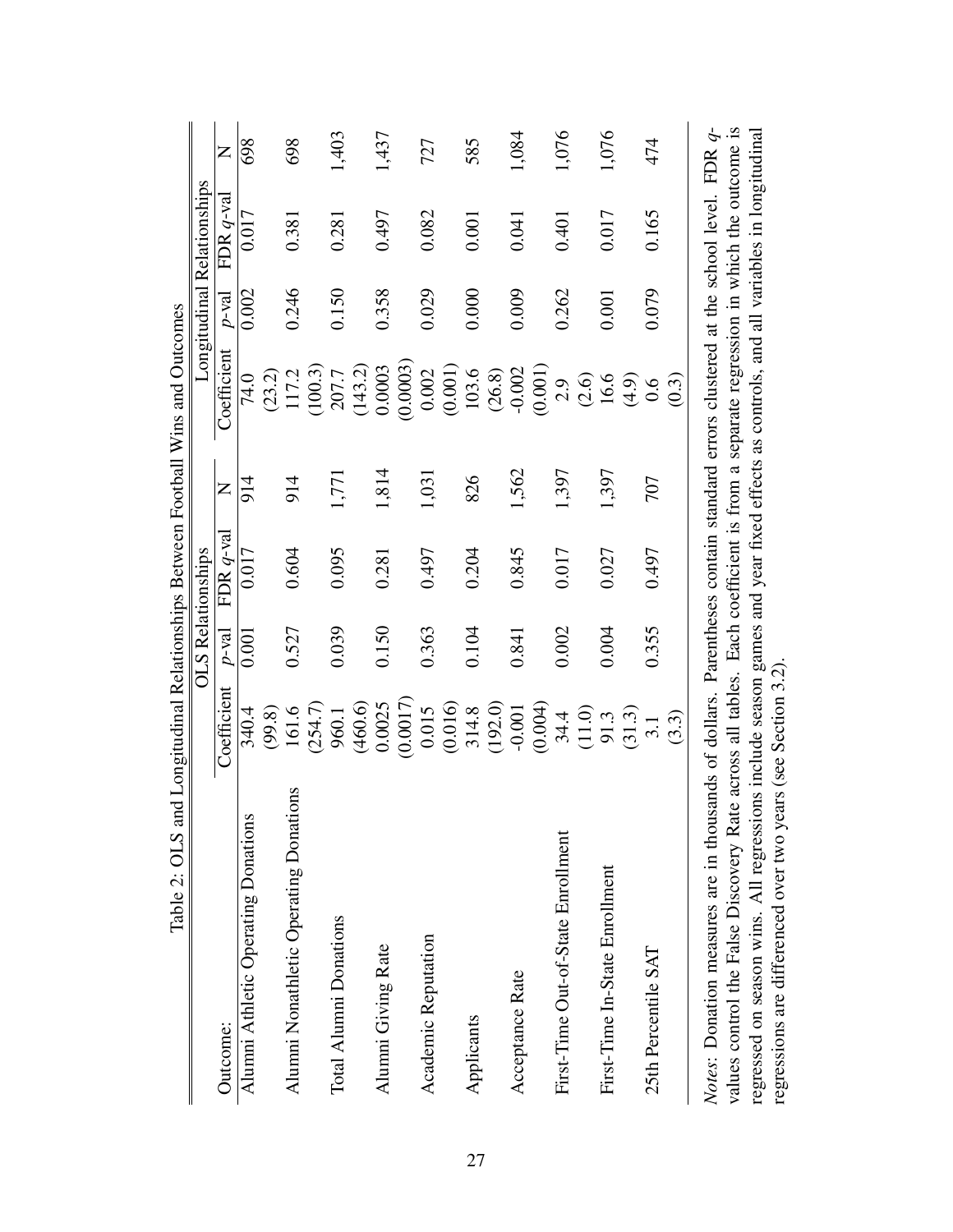| Table 2: OLS and Longitudinal Relationships Between Football Wins and Outcomes                                                  |                 |               |                          |                |                    |          |                            |       |
|---------------------------------------------------------------------------------------------------------------------------------|-----------------|---------------|--------------------------|----------------|--------------------|----------|----------------------------|-------|
|                                                                                                                                 |                 |               | <b>OLS Relationships</b> |                |                    |          | Longitudinal Relationships |       |
| Outcome:                                                                                                                        | Coefficient     | $p$ -val      | FDR $q$ -val             | $\overline{Z}$ | Coefficient        | $p$ -val | FDR $q$ -val               | Z     |
| Alumni Athletic Operating Donations                                                                                             | 340.4           | 0.001         | 0.017                    | 914            | 74.0               | 0.002    | 0.017                      | 698   |
| Alumni Nonathletic Operating Donations                                                                                          | 161.6<br>(99.8) | 0.527         | 0.604                    | 914            | (23.2)<br>117.2    | 0.246    | 0.381                      | 698   |
|                                                                                                                                 | (254.7)         |               |                          |                | (100.3)            |          |                            |       |
| Total Alumni Donations                                                                                                          | 960.1           | 0.039         | 0.095                    | 1,771          | 207.7              | 0.150    | 0.281                      | 1,403 |
|                                                                                                                                 | (460.6)         |               |                          |                | (143.2)            |          |                            |       |
| Alumni Giving Rate                                                                                                              | 0.0025          | 0.150         | 0.281                    | 1,814          | 0.0003             | 0.358    | 0.497                      | 1,437 |
|                                                                                                                                 | (0.0017)        |               |                          |                | (0.0003)           |          |                            |       |
| Academic Reputation                                                                                                             | 0.015           | 0.363         | 0.497                    | 1,031          | 0.002              | 0.029    | 0.082                      | 727   |
|                                                                                                                                 | (0.016)         |               |                          |                | (0.001)            |          |                            |       |
| Applicants                                                                                                                      | 314.8           | 0.104         | 0.204                    | 826            | 103.6              | 0.000    | 0.001                      | 585   |
|                                                                                                                                 | (192.0)         |               |                          |                | (26.8)             |          |                            |       |
| Acceptance Rate                                                                                                                 | $-0.001$        | 0.841         | 0.845                    | 1,562          | $-0.002$           | 0.009    | 0.041                      | 1,084 |
|                                                                                                                                 | (0.004)         |               |                          |                | (0.001)            |          |                            |       |
| First-Time Out-of-State Enrollment                                                                                              | 34.4            | 0.002         | 0.017                    | 1,397          | 2.9                | 0.262    | 0.401                      | 1,076 |
|                                                                                                                                 | (11.0)          |               |                          |                | (2.6)              |          |                            |       |
| First-Time In-State Enrollment                                                                                                  | 91.3            | 0.004         | 0.027                    | 1,397          | 16.6               | 0.001    | 0.017                      | 1,076 |
|                                                                                                                                 | (31.3)          |               |                          |                | $\left(4.9\right)$ |          |                            |       |
| 25th Percentile SAT                                                                                                             |                 | 0.355         | 0.497                    | 707            | 0.6                | 0.079    | 0.165                      | 474   |
|                                                                                                                                 | (3.3)           |               |                          |                | (0.3)              |          |                            |       |
| Notes: Donation measures are in thousands of dollars. Parentheses contain standard errors clustered at the school level. FDR q- |                 | $\frac{1}{2}$ | $\sim$ .                 |                |                    |          |                            |       |

|                                | $-1 - 1 - 1 = 0$ |  |
|--------------------------------|------------------|--|
|                                |                  |  |
| $\overline{\phantom{a}}$       | i<br>S           |  |
|                                |                  |  |
|                                | $\sim$ Katuzaan  |  |
|                                |                  |  |
|                                | $\frac{1}{2}$    |  |
|                                |                  |  |
| $\sim$ OI S and I one indicate |                  |  |
|                                |                  |  |
|                                |                  |  |
|                                |                  |  |
| $\frac{1}{2}$                  |                  |  |

values control the False Discovery Rate across all tables. Each coefficient is from a separate regression in which the outcome is regressed on season wins. All regressions include season games and year fixed effects as controls, and all variables in longitudinal *Notes*: Donation measures are in thousands of dollars. Parentheses contain standard errors clustered at the school level. FDR q-<br>values control the False Discovery Rate across all tables. Each coefficient is from a separa regressed on season wins. All regressions include season games and year fixed effects as controls, and all variables in longitudinal regressions are differenced over two years (see Section 3.2). regressions are differenced over two years (see Section 3.2).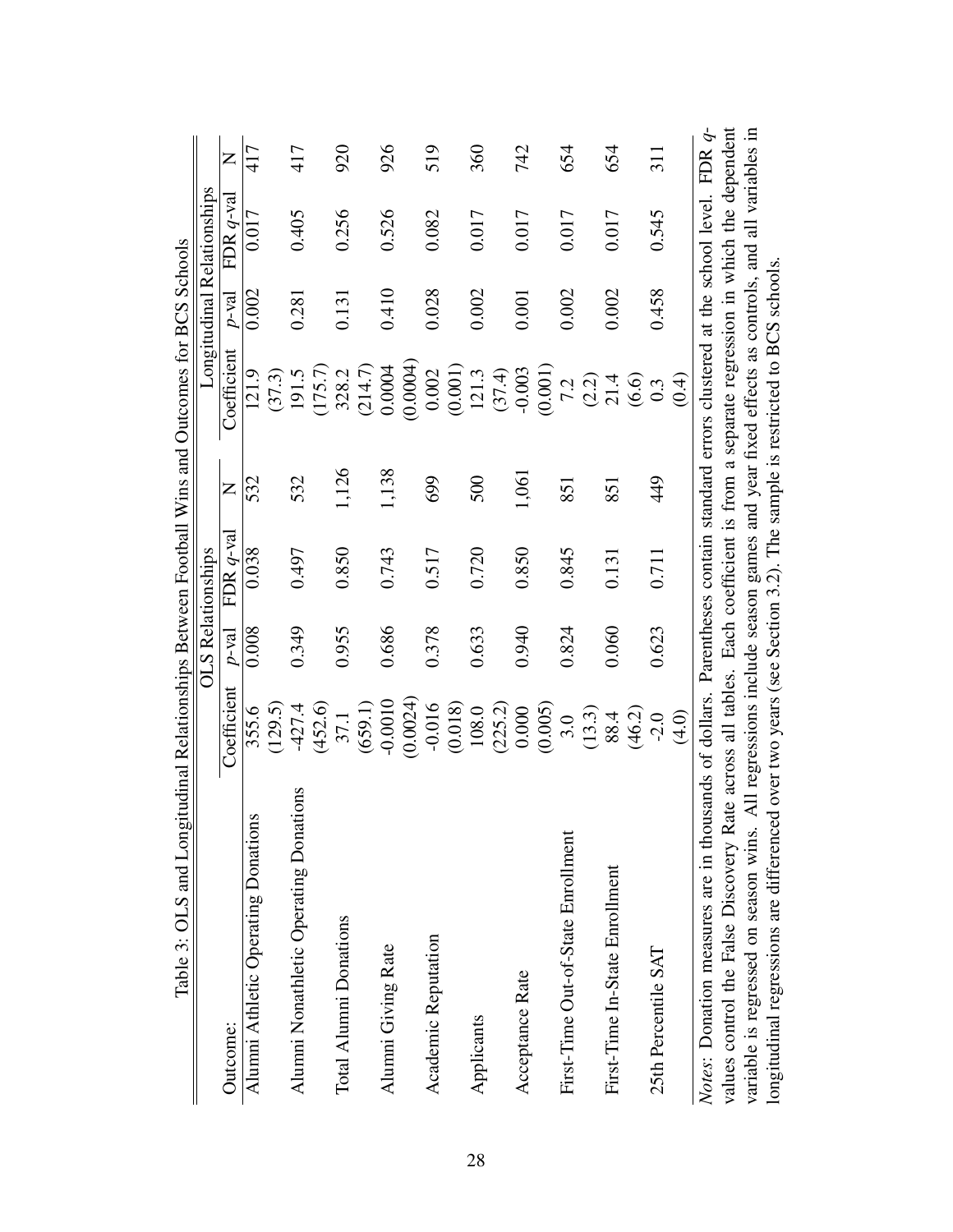| Table 3: OLS and Longitudinal Relationships Between Football Wins and Outcomes for BCS Schools                                   |             |                          |              |       |                                                                                               |          |                            |           |
|----------------------------------------------------------------------------------------------------------------------------------|-------------|--------------------------|--------------|-------|-----------------------------------------------------------------------------------------------|----------|----------------------------|-----------|
|                                                                                                                                  |             | <b>OLS Relationships</b> |              |       |                                                                                               |          | Longitudinal Relationships |           |
| Outcome:                                                                                                                         | Coefficient | $p$ -val                 | FDR $q$ -val | Z     | Coefficient                                                                                   | $p$ -val | FDR $q$ -val               | Z         |
| S<br>Alumni Athletic Operating Donation                                                                                          | 355.6       | 0.008                    | 0.038        | 532   | 121.9                                                                                         | 0.002    | 0.017                      | 417       |
|                                                                                                                                  | (129.5)     |                          |              |       | (37.3)                                                                                        |          |                            |           |
| tions<br>Alumni Nonathletic Operating Donat                                                                                      | $-427.4$    | 0.349                    | 0.497        | 532   | 191.5                                                                                         | 0.281    | 0.405                      | 417       |
|                                                                                                                                  | (452.6)     |                          |              |       | (175.7)                                                                                       |          |                            |           |
| Total Alumni Donations                                                                                                           | 37.1        | 0.955                    | 0.850        | 1,126 | 328.2                                                                                         | 0.131    | 0.256                      | 920       |
|                                                                                                                                  | (659.1)     |                          |              |       | (214.7)                                                                                       |          |                            |           |
| Alumni Giving Rate                                                                                                               | $-0.0010$   | 0.686                    | 0.743        | 1,138 | 0.0004                                                                                        | 0.410    | 0.526                      | 926       |
|                                                                                                                                  | (0.0024)    |                          |              |       | (0.0004)                                                                                      |          |                            |           |
| Academic Reputation                                                                                                              | $-0.016$    | 0.378                    | 0.517        | 699   | 0.002                                                                                         | 0.028    | 0.082                      | 519       |
|                                                                                                                                  | (0.018)     |                          |              |       | (0.001)                                                                                       |          |                            |           |
| Applicants                                                                                                                       | 108.0       | 0.633                    | 0.720        | 500   | 121.3                                                                                         | 0.002    | 0.017                      | 360       |
|                                                                                                                                  | (225.2)     |                          |              |       | (37.4)                                                                                        |          |                            |           |
| Acceptance Rate                                                                                                                  | 0.000       | 0.940                    | 0.850        | 1,061 | $-0.003$                                                                                      | 0.001    | 0.017                      | 742       |
|                                                                                                                                  | (0.005)     |                          |              |       | (0.001)                                                                                       |          |                            |           |
| First-Time Out-of-State Enrollment                                                                                               | 3.0         | 0.824                    | 0.845        | 851   | 7.2                                                                                           | 0.002    | 0.017                      | 654       |
|                                                                                                                                  | (13.3)      |                          |              |       | $(2.2)$<br>21.4                                                                               |          |                            |           |
| First-Time In-State Enrollment                                                                                                   | 88.4        | 0.060                    | 0.131        | 851   |                                                                                               | 0.002    | 0.017                      | 654       |
|                                                                                                                                  | (46.2)      |                          |              |       | (6.6)                                                                                         |          |                            |           |
| 25th Percentile SAT                                                                                                              | $-2.0$      | 0.623                    | 0.711        | 449   | 0.3                                                                                           | 0.458    | 0.545                      | 311       |
|                                                                                                                                  | (4.0)       |                          |              |       | (0.4)                                                                                         |          |                            |           |
| Notes: Donation measures are in thousands of dollars. Parentheses contain standard errors clustered at the school level.         |             |                          |              |       |                                                                                               |          |                            | FDR $q$ - |
| values control the False Discovery Rate across all tables. Each coefficient is from a separate regression in which the dependent |             |                          |              |       |                                                                                               |          |                            |           |
| variable is regressed on season wins.                                                                                            |             |                          |              |       | All regressions include season games and year fixed effects as controls, and all variables in |          |                            |           |
| longitudinal regressions are differenced over two years (see Section 3.2). The sample is restricted to BCS schools.              |             |                          |              |       |                                                                                               |          |                            |           |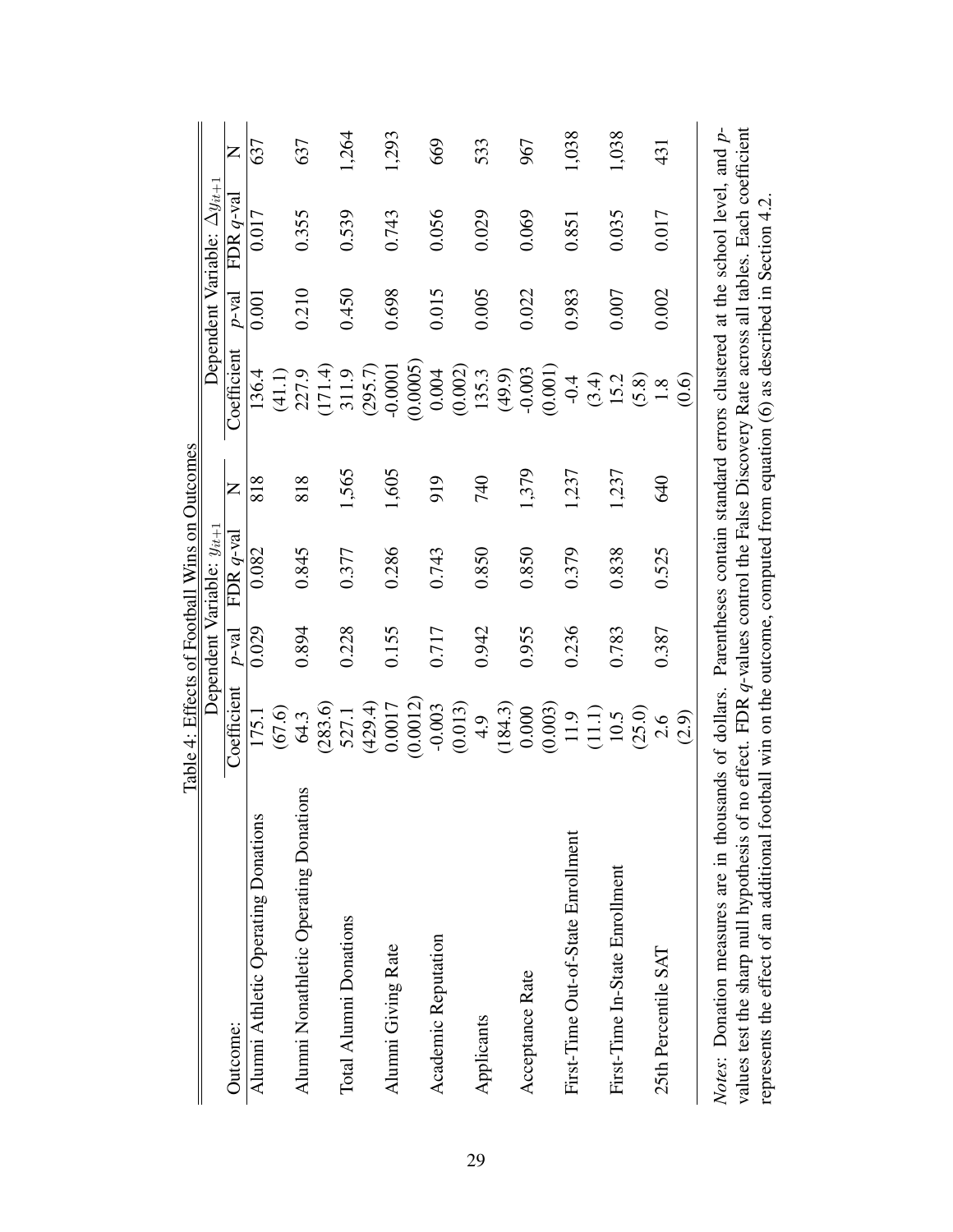|                                                       | Table 4: Effects of Football Wins on Outcomes |          |                                |            |                                                                           |          |                                       |       |
|-------------------------------------------------------|-----------------------------------------------|----------|--------------------------------|------------|---------------------------------------------------------------------------|----------|---------------------------------------|-------|
|                                                       |                                               |          | Dependent Variable: $y_{it+1}$ |            |                                                                           |          | Dependent Variable: $\Delta y_{it+1}$ |       |
| Outcome:                                              | Coefficient                                   | $p$ -val | FDR $q$ -val                   | Z          | Coefficient                                                               | $p$ -val | FDR $q$ -va                           | Z     |
| Alumni Athletic Operating Donations                   | 175.1                                         | 0.029    | 0.082                          | 818        | 136.4                                                                     | 0.001    | 0.017                                 | 637   |
|                                                       | (67.6)                                        |          |                                |            | (41.1)                                                                    |          |                                       |       |
| Alumni Nonathletic Operating Donations                | 64.3                                          | 0.894    | 0.845                          | 818        | 227.9                                                                     | 0.210    | 0.355                                 | 637   |
|                                                       | (283.6)                                       |          |                                |            | (171.4)                                                                   |          |                                       |       |
| Total Alumni Donations                                | 527.1                                         | 0.228    | 0.377                          | 1,565      | 311.9                                                                     | 0.450    | 0.539                                 | 1,264 |
|                                                       | (429.4)                                       |          |                                |            | (295.7)                                                                   |          |                                       |       |
| Alumni Giving Rate                                    | 0.0017                                        | 0.155    | 0.286                          | 1,605      | $-0.0001$                                                                 | 0.698    | 0.743                                 | 1,293 |
|                                                       | (0.0012)                                      |          |                                |            | (0.0005)                                                                  |          |                                       |       |
| Academic Reputation                                   | $-0.003$                                      | 0.717    | 0.743                          | 919        | 0.004                                                                     | 0.015    | 0.056                                 | 669   |
|                                                       | (0.013)                                       |          |                                |            | (0.002)                                                                   |          |                                       |       |
| Applicants                                            | 4.9                                           | 0.942    | 0.850                          | 740        | 135.3                                                                     | 0.005    | 0.029                                 | 533   |
|                                                       | (184.3)                                       |          |                                |            | (49.9)                                                                    |          |                                       |       |
| Acceptance Rate                                       | 0.000                                         | 0.955    | 0.850                          | 1,379      | $-0.003$                                                                  | 0.022    | 0.069                                 | 967   |
|                                                       | (0.003)                                       |          |                                |            | (0.001)                                                                   |          |                                       |       |
| First-Time Out-of-State Enrollment                    | 11.9                                          | 0.236    | 0.379                          | 1,237      | $-0.4$                                                                    | 0.983    | 0.851                                 | 1,038 |
|                                                       | $(11.1)$                                      |          |                                |            | (3.4)                                                                     |          |                                       |       |
| First-Time In-State Enrollment                        | 10.5                                          | 0.783    | 0.838                          | 1,237      | 15.2                                                                      | 0.007    | 0.035                                 | 1,038 |
|                                                       | (25.0)                                        |          |                                |            | (5.8)                                                                     |          |                                       |       |
| 25th Percentile SAT                                   | 2.6                                           | 0.387    | 0.525                          | <b>640</b> | 1.8                                                                       | 0.002    | 0.017                                 | 431   |
|                                                       | (2.9)                                         |          |                                |            | $\odot$                                                                   |          |                                       |       |
| Notes: Donation measures are in thousands of dollars. |                                               |          |                                |            | Parentheses contain standard errors clustered at the school level, and p- |          |                                       |       |

| $\ddot{\phantom{0}}$ | Notes: Donation measures are in thousands of dollars. Parentheses contain standard errors clustered at the school level, and p- | f no effect. FDR q-values control the False Discovery Rate across all tables. Each coefficient | ootball win on the outcome, computed from equation (6) as described in Section 4.2. |
|----------------------|---------------------------------------------------------------------------------------------------------------------------------|------------------------------------------------------------------------------------------------|-------------------------------------------------------------------------------------|
|                      |                                                                                                                                 | values test the sharp null hypothesis of                                                       | epresents the effect of an additional for-                                          |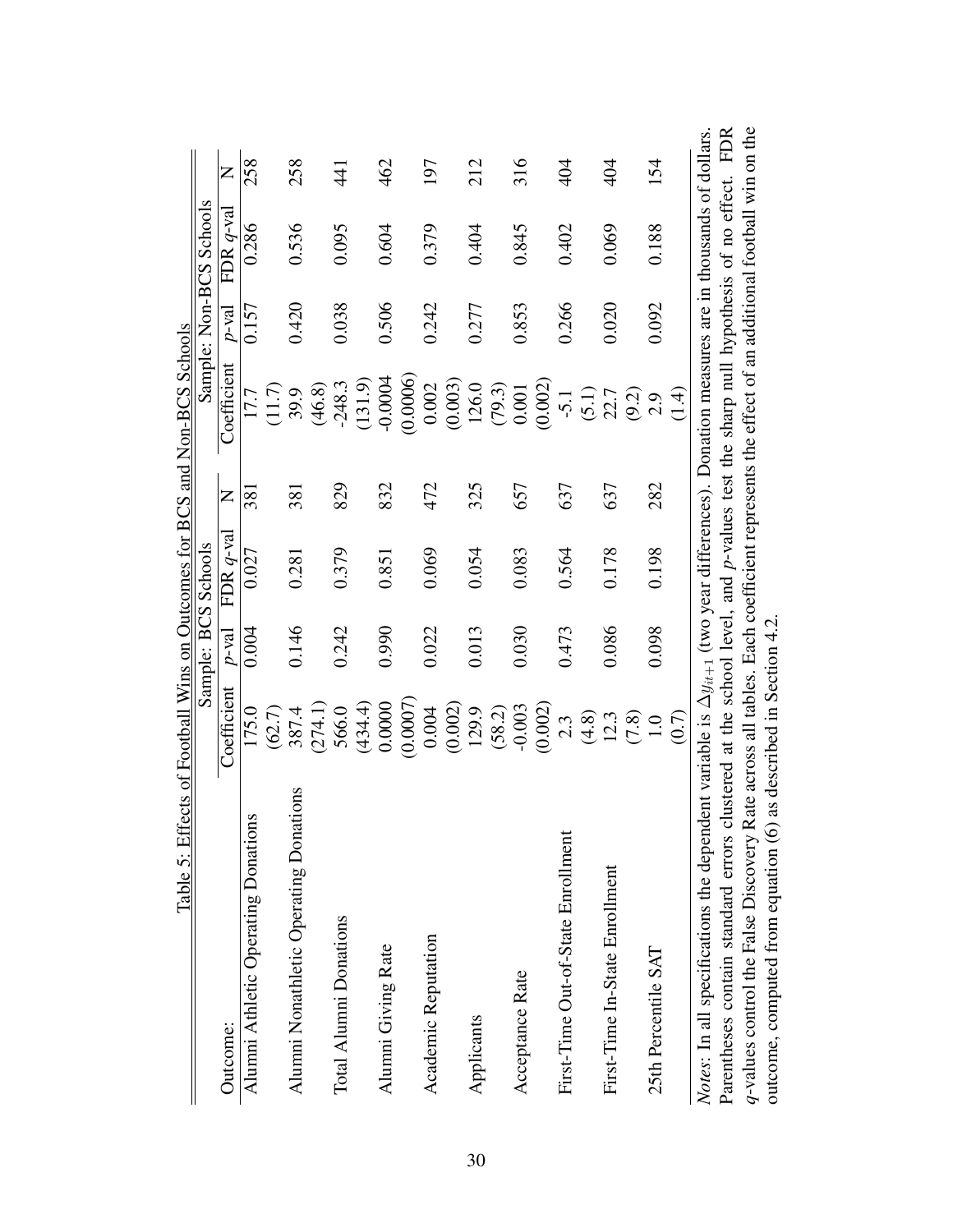| Table 5: Effects of Football Wins on Outcomes for BCS and Non-BCS Schools                                                                               |                              |          |                     |                |                                                                                           |          |                         |                 |
|---------------------------------------------------------------------------------------------------------------------------------------------------------|------------------------------|----------|---------------------|----------------|-------------------------------------------------------------------------------------------|----------|-------------------------|-----------------|
|                                                                                                                                                         |                              |          | Sample: BCS Schools |                |                                                                                           |          | Sample: Non-BCS Schools |                 |
| Outcome:                                                                                                                                                | Coefficient                  | $p$ -val | FDR $q$ -val        | $\overline{z}$ | Coefficient                                                                               | $p$ -val | FDR $q$ -val            | Z               |
| Alumni Athletic Operating Donations                                                                                                                     | 175.0                        | 0.004    | 0.027               | 381            | 17.7                                                                                      | 0.157    | 0.286                   | 258             |
|                                                                                                                                                         | (62.7)                       |          |                     |                | (11.7)                                                                                    |          |                         |                 |
| Alumni Nonathletic Operating Donations                                                                                                                  | 387.4                        | 0.146    | 0.281               | 381            | 39.9                                                                                      | 0.420    | 0.536                   | 258             |
|                                                                                                                                                         | (274.1)                      |          |                     |                | (46.8)                                                                                    |          |                         |                 |
| Total Alumni Donations                                                                                                                                  | 566.0                        | 0.242    | 0.379               | 829            | $-248.3$                                                                                  | 0.038    | 0.095                   | $\overline{41}$ |
|                                                                                                                                                         | (434.4)                      |          |                     |                | (131.9)                                                                                   |          |                         |                 |
| Alumni Giving Rate                                                                                                                                      | 0.0000                       | 0.990    | 0.851               | 832            | $-0.0004$                                                                                 | 0.506    | 0.604                   | 462             |
|                                                                                                                                                         | (0.0007)                     |          |                     |                | 0.0006                                                                                    |          |                         |                 |
| Academic Reputation                                                                                                                                     | 0.004                        | 0.022    | 0.069               | 472            | 0.002                                                                                     | 0.242    | 0.379                   | 197             |
|                                                                                                                                                         | (0.002)                      |          |                     |                | (0.003)                                                                                   |          |                         |                 |
| Applicants                                                                                                                                              | 129.9                        | 0.013    | 0.054               | 325            | 126.0                                                                                     | 0.277    | 0.404                   | 212             |
|                                                                                                                                                         | (58.2)                       |          |                     |                | (79.3)                                                                                    |          |                         |                 |
| Acceptance Rate                                                                                                                                         | $-0.003$                     | 0.030    | 0.083               | 657            | 0.001                                                                                     | 0.853    | 0.845                   | 316             |
|                                                                                                                                                         | (0.002)                      |          |                     |                | (0.002)                                                                                   |          |                         |                 |
| First-Time Out-of-State Enrollment                                                                                                                      | 2.3                          | 0.473    | 0.564               | 637            | $-5.1$                                                                                    | 0.266    | 0.402                   | 404             |
|                                                                                                                                                         | (4.8)                        |          |                     |                | (5.1)                                                                                     |          |                         |                 |
| First-Time In-State Enrollment                                                                                                                          | 12.3                         | 0.086    | 0.178               | 637            | 22.7                                                                                      | 0.020    | 0.069                   | 404             |
|                                                                                                                                                         | (7.8)                        |          |                     |                | (9.2)                                                                                     |          |                         |                 |
| 25th Percentile SAT                                                                                                                                     | 1.0                          | 0.098    | 0.198               | 282            | 2.9                                                                                       | 0.092    | 0.188                   | 154             |
|                                                                                                                                                         | (0.7)                        |          |                     |                | (1.4)                                                                                     |          |                         |                 |
| <i>Notes</i> : In all specifications the dependent variable is $\Delta y_{it+1}$ (two year differences). Donation measures are in thousands of dollars. |                              |          |                     |                |                                                                                           |          |                         |                 |
| Parentheses contain standard errors cl                                                                                                                  |                              |          |                     |                | ustered at the school level, and $p$ -values test the sharp null hypothesis of no effect. |          |                         | <b>FDR</b>      |
| q-values control the False Discovery Rate across all tables. Each coefficient represents the effect of an additional football win on the                |                              |          |                     |                |                                                                                           |          |                         |                 |
| outcome, computed from equation (6)                                                                                                                     | as described in Section 4.2. |          |                     |                |                                                                                           |          |                         |                 |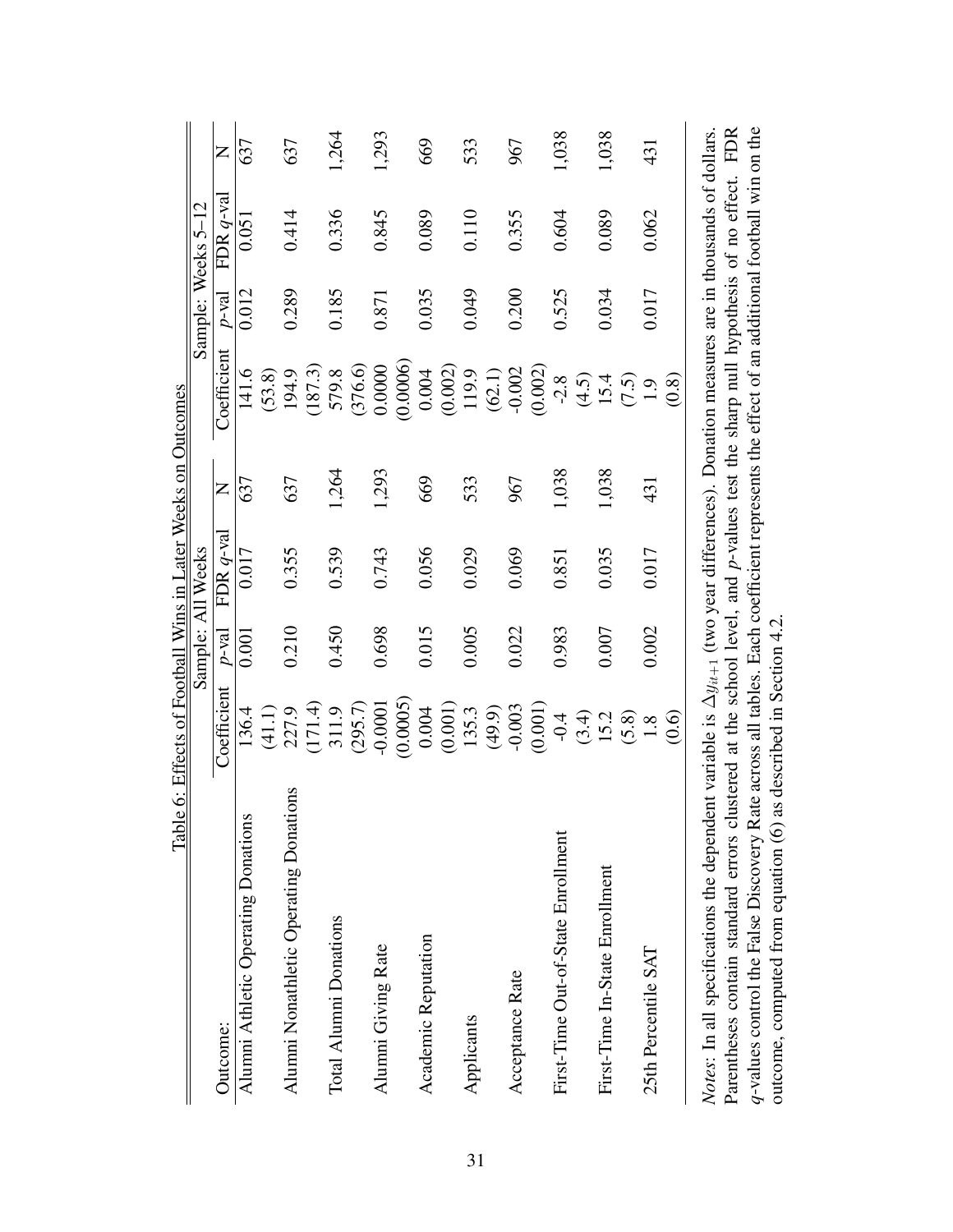|                                                                                                                                                                                                                                                                                            | Table 6: Effects of Football Wins in Later Weeks on Outcomes |          |                   |       |                   |          |                       |       |
|--------------------------------------------------------------------------------------------------------------------------------------------------------------------------------------------------------------------------------------------------------------------------------------------|--------------------------------------------------------------|----------|-------------------|-------|-------------------|----------|-----------------------|-------|
|                                                                                                                                                                                                                                                                                            |                                                              |          | Sample: All Weeks |       |                   |          | Sample: Weeks 5-12    |       |
| Outcome:                                                                                                                                                                                                                                                                                   | Coefficient                                                  | $p$ -val | FDR $q$ -val      | Z     | Coefficient       | $p$ -val | FDR $q$ -val          | Z     |
| Alumni Athletic Operating Donations                                                                                                                                                                                                                                                        | 136.4                                                        | 0.001    | 0.017             | 637   | 141.6             | 0.012    | 0.051                 | 637   |
|                                                                                                                                                                                                                                                                                            | (41.1)                                                       |          |                   |       | (53.8)            |          |                       |       |
| Alumni Nonathletic Operating Donations                                                                                                                                                                                                                                                     | 227.9                                                        | 0.210    | 0.355             | 637   | 194.9             | 0.289    | 0.414                 | 637   |
|                                                                                                                                                                                                                                                                                            | (171.4)                                                      |          |                   |       | (187.3)           |          |                       |       |
| Total Alumni Donations                                                                                                                                                                                                                                                                     | 311.9                                                        | 0.450    | 0.539             | 1,264 | 579.8             | 0.185    | 0.336                 | 1,264 |
|                                                                                                                                                                                                                                                                                            | (295.7)                                                      |          |                   |       | (376.6)           |          |                       |       |
| Alumni Giving Rate                                                                                                                                                                                                                                                                         | $-0.0001$                                                    | 0.698    | 0.743             | 1,293 | 0.0000            | 0.871    | 0.845                 | 1,293 |
|                                                                                                                                                                                                                                                                                            | (0.0005)                                                     |          |                   |       | (0.0006)          |          |                       |       |
| Academic Reputation                                                                                                                                                                                                                                                                        | 0.004                                                        | 0.015    | 0.056             | 669   | 0.004             | 0.035    | 0.089                 | 669   |
|                                                                                                                                                                                                                                                                                            | (0.001)                                                      |          |                   |       | (0.002)           |          |                       |       |
| Applicants                                                                                                                                                                                                                                                                                 | 135.3                                                        | 0.005    | 0.029             | 533   | 119.9             | 0.049    | 0.110                 | 533   |
|                                                                                                                                                                                                                                                                                            | (49.9)                                                       |          |                   |       | (62.1)            |          |                       |       |
| Acceptance Rate                                                                                                                                                                                                                                                                            | $-0.003$                                                     | 0.022    | 0.069             | 967   | $-0.002$          | 0.200    | 0.355                 | 967   |
|                                                                                                                                                                                                                                                                                            | (0.001)                                                      |          |                   |       | (0.002)           |          |                       |       |
| First-Time Out-of-State Enrollment                                                                                                                                                                                                                                                         | $-0.4$                                                       | 0.983    | 0.851             | 1,038 | $-2.8$            | 0.525    | 0.604                 | 1,038 |
|                                                                                                                                                                                                                                                                                            | (3.4)                                                        |          |                   |       | $\widetilde{4.5}$ |          |                       |       |
| First-Time In-State Enrollment                                                                                                                                                                                                                                                             | 15.2                                                         | 0.007    | 0.035             | 1,038 | 15.4              | 0.034    | 0.089                 | 1,038 |
|                                                                                                                                                                                                                                                                                            | (5.8)                                                        |          |                   |       | (7.5)             |          |                       |       |
| 25th Percentile SAT                                                                                                                                                                                                                                                                        | $\frac{8}{1}$                                                | 0.002    | 0.017             | 431   | $\overline{1.9}$  | 0.017    | 0.062                 | 431   |
|                                                                                                                                                                                                                                                                                            | $\overset{\text{\normalsize{(0.6)}}}{=}$                     |          |                   |       | (0.8)             |          |                       |       |
| Parentheses contain standard errors clustered at the school level, and p-values test the sharp null hypothesis of no effect. FDR<br><i>Notes</i> : In all specifications the dependent variable is $\Delta y_{it+1}$ (two year differences). Donation measures are in thousands of dollars |                                                              |          |                   |       |                   |          |                       |       |
|                                                                                                                                                                                                                                                                                            |                                                              |          |                   |       |                   |          | $\ddot{\ddot{\cdot}}$ |       |

*q*-values control the False Discovery Rate across all tables. Each coefficient represents the effect of an additional football win on the

q-values control the False Discovery Rate across all tables. Each coefficient represents the effect of an additional football win on the

outcome, computed from equation (6) as described in Section 4.2.

outcome, computed from equation (6) as described in Section 4.2.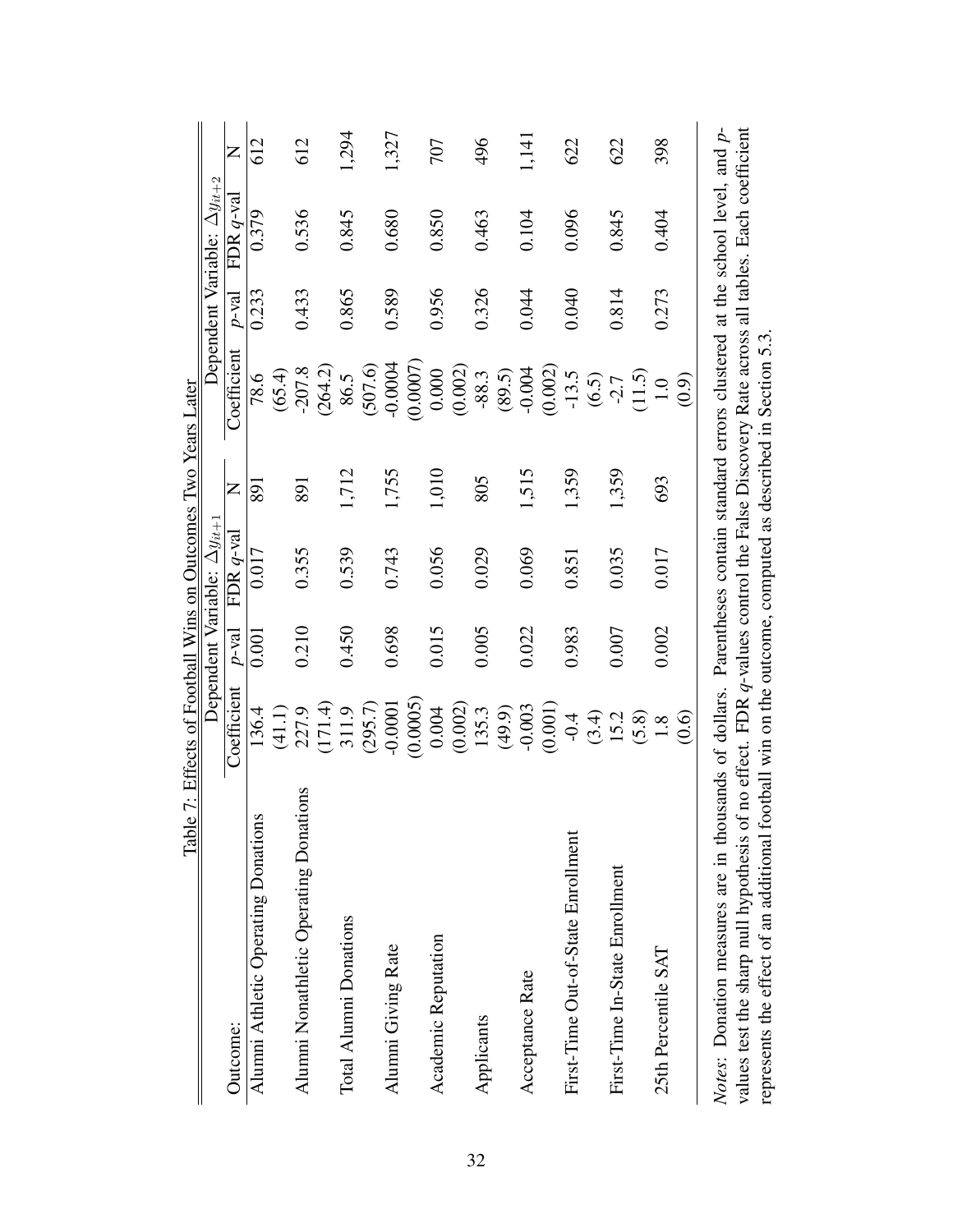|                                                       | Table 7: Effects of Football Wins on Outcomes Two Years Later |         |                                       |       |                                                                           |          |                                       |       |
|-------------------------------------------------------|---------------------------------------------------------------|---------|---------------------------------------|-------|---------------------------------------------------------------------------|----------|---------------------------------------|-------|
|                                                       |                                                               |         | Dependent Variable: $\Delta y_{it+1}$ |       |                                                                           |          | Dependent Variable: $\Delta y_{it+2}$ |       |
| Outcome:                                              | Coefficient                                                   | $P-val$ | FDR $q$ -val                          | Z     | Coefficient                                                               | $p$ -val | FDR $q$ -va                           | Z     |
| Alumni Athletic Operating Donations                   | 136.4                                                         | 0.001   | 0.017                                 | 891   | 78.6                                                                      | 0.233    | 0.379                                 | 612   |
|                                                       | (41.1)                                                        |         |                                       |       | (65.4)                                                                    |          |                                       |       |
| Alumni Nonathletic Operating Donations                | 227.9                                                         | 0.210   | 0.355                                 | 891   | $-207.8$                                                                  | 0.433    | 0.536                                 | 612   |
|                                                       | (171.4)                                                       |         |                                       |       | (264.2)                                                                   |          |                                       |       |
| Total Alumni Donations                                | 311.9                                                         | 0.450   | 0.539                                 | 1,712 | 86.5                                                                      | 0.865    | 0.845                                 | 1,294 |
|                                                       | (295.7)                                                       |         |                                       |       | (507.6)                                                                   |          |                                       |       |
| Alumni Giving Rate                                    | $-0.0001$                                                     | 0.698   | 0.743                                 | 1,755 | $-0.0004$                                                                 | 0.589    | 0.680                                 | 1,327 |
|                                                       | (0.0005)                                                      |         |                                       |       | 0.0007                                                                    |          |                                       |       |
| Academic Reputation                                   | 0.004                                                         | 0.015   | 0.056                                 | 1,010 | 0.000                                                                     | 0.956    | 0.850                                 | 707   |
|                                                       | (0.002)                                                       |         |                                       |       | (0.002)                                                                   |          |                                       |       |
| Applicants                                            | 135.3                                                         | 0.005   | 0.029                                 | 805   | $-88.3$                                                                   | 0.326    | 0.463                                 | 496   |
|                                                       | (49.9)                                                        |         |                                       |       | (89.5)                                                                    |          |                                       |       |
| Acceptance Rate                                       | $-0.003$                                                      | 0.022   | 0.069                                 | 1,515 | $-0.004$                                                                  | 0.044    | 0.104                                 | 1,141 |
|                                                       | (0.001)                                                       |         |                                       |       | (0.002)                                                                   |          |                                       |       |
| First-Time Out-of-State Enrollment                    | $-0.4$                                                        | 0.983   | 0.851                                 | 1,359 | $-13.5$                                                                   | 0.040    | 0.096                                 | 622   |
|                                                       | (3.4)                                                         |         |                                       |       | (6.5)                                                                     |          |                                       |       |
| First-Time In-State Enrollment                        | 15.2                                                          | 0.007   | 0.035                                 | 1,359 | $-2.7$                                                                    | 0.814    | 0.845                                 | 622   |
|                                                       | (5.8)                                                         |         |                                       |       | (11.5)                                                                    |          |                                       |       |
| 25th Percentile SAT                                   | 1.8                                                           | 0.002   | 0.017                                 | 693   | 1.0                                                                       | 0.273    | 0.404                                 | 398   |
|                                                       | (0.6)                                                         |         |                                       |       | (0.9)                                                                     |          |                                       |       |
| Notes: Donation measures are in thousands of dollars. |                                                               |         |                                       |       | Parentheses contain standard errors clustered at the school level, and p- |          |                                       |       |

values test the sharp null hypothesis of no effect. FDR q-values control the False Discovery Rate across all tables. Each coefficient<br>represents the effect of an additional football win on the outcome, computed as describe *Notes*: Donation measures are in thousands of dollars. Parentheses contain standard errors clustered at the school level, and p-<br>values test the sharp null hypothesis of no effect. FDR q-values control the False Discovery represents the effect of an additional football win on the outcome, computed as described in Section 5.3.